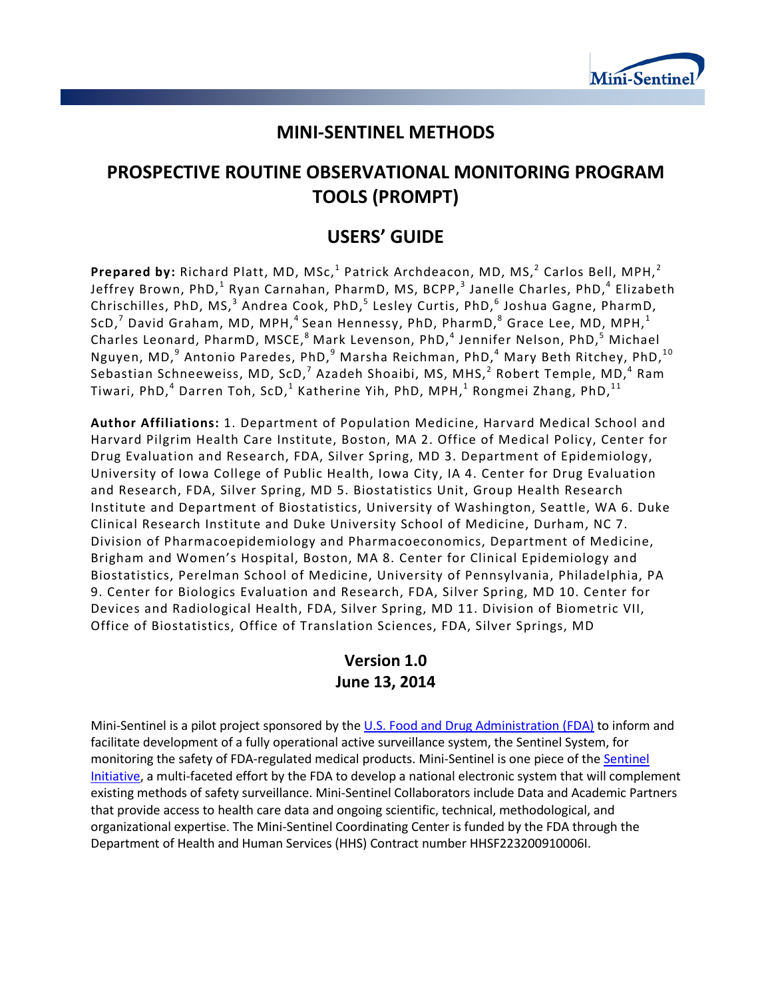

# **MINI-SENTINEL METHODS**

# **PROSPECTIVE ROUTINE OBSERVATIONAL MONITORING PROGRAM TOOLS (PROMPT)**

# **USERS' GUIDE**

**Prepared by:** Richard Platt, MD, MSc,<sup>1</sup> Patrick Archdeacon, MD, MS,<sup>2</sup> Carlos Bell, MPH,<sup>2</sup> Jeffrey Brown, PhD, $^1$  Ryan Carnahan, PharmD, MS, BCPP, $^3$  Janelle Charles, PhD, $^4$  Elizabeth Chrischilles, PhD, MS,<sup>3</sup> Andrea Cook, PhD,<sup>5</sup> Lesley Curtis, PhD,<sup>6</sup> Joshua Gagne, PharmD, ScD, $^7$  David Graham, MD, MPH, $^4$  Sean Hennessy, PhD, PharmD, $^8$  Grace Lee, MD, MPH, $^1$ Charles Leonard, PharmD, MSCE,<sup>8</sup> Mark Levenson, PhD,<sup>4</sup> Jennifer Nelson, PhD,<sup>5</sup> Michael Nguyen, MD, $^9$  Antonio Paredes, PhD, $^9$  Marsha Reichman, PhD, $^4$  Mary Beth Ritchey, PhD, $^{10}$ Sebastian Schneeweiss, MD, ScD,<sup>7</sup> Azadeh Shoaibi, MS, MHS, $<sup>2</sup>$  Robert Temple, MD,<sup>4</sup> Ram</sup> Tiwari, PhD, $^4$  Darren Toh, ScD, $^1$  Katherine Yih, PhD, MPH, $^1$  Rongmei Zhang, PhD, $^{11}$ 

**Author Affiliations:** 1. Department of Population Medicine, Harvard Medical School and Harvard Pilgrim Health Care Institute, Boston, MA 2. Office of Medical Policy, Center for Drug Evaluation and Research, FDA, Silver Spring, MD 3. Department of Epidemiology, University of Iowa College of Public Health, Iowa City, IA 4. Center for Drug Evaluation and Research, FDA, Silver Spring, MD 5. Biostatistics Unit, Group Health Research Institute and Department of Biostatistics, University of Washington, Seattle, WA 6. Duke Clinical Research Institute and Duke University School of Medicine, Durham, NC 7. Division of Pharmacoepidemiology and Pharmacoeconomics, Department of Medicine, Brigham and Women's Hospital, Boston, MA 8. Center for Clinical Epidemiology and Biostatistics, Perelman School of Medicine, University of Pennsylvania, Philadelphia, PA 9. Center for Biologics Evaluation and Research, FDA, Silver Spring, MD 10. Center for Devices and Radiological Health, FDA, Silver Spring, MD 11. Division of Biometric VII, Office of Biostatistics, Office of Translation Sciences, FDA, Silver Springs, MD

## **Version 1.0 June 13, 2014**

Mini-Sentinel is a pilot project sponsored by th[e U.S. Food and Drug Administration \(FDA\)](http://www.fda.gov/) to inform and facilitate development of a fully operational active surveillance system, the Sentinel System, for monitoring the safety of FDA-regulated medical products. Mini-Sentinel is one piece of the [Sentinel](http://www.fda.gov/Safety/FDAsSentinelInitiative/default.htm)  [Initiative,](http://www.fda.gov/Safety/FDAsSentinelInitiative/default.htm) a multi-faceted effort by the FDA to develop a national electronic system that will complement existing methods of safety surveillance. Mini-Sentinel Collaborators include Data and Academic Partners that provide access to health care data and ongoing scientific, technical, methodological, and organizational expertise. The Mini-Sentinel Coordinating Center is funded by the FDA through the Department of Health and Human Services (HHS) Contract number HHSF223200910006I.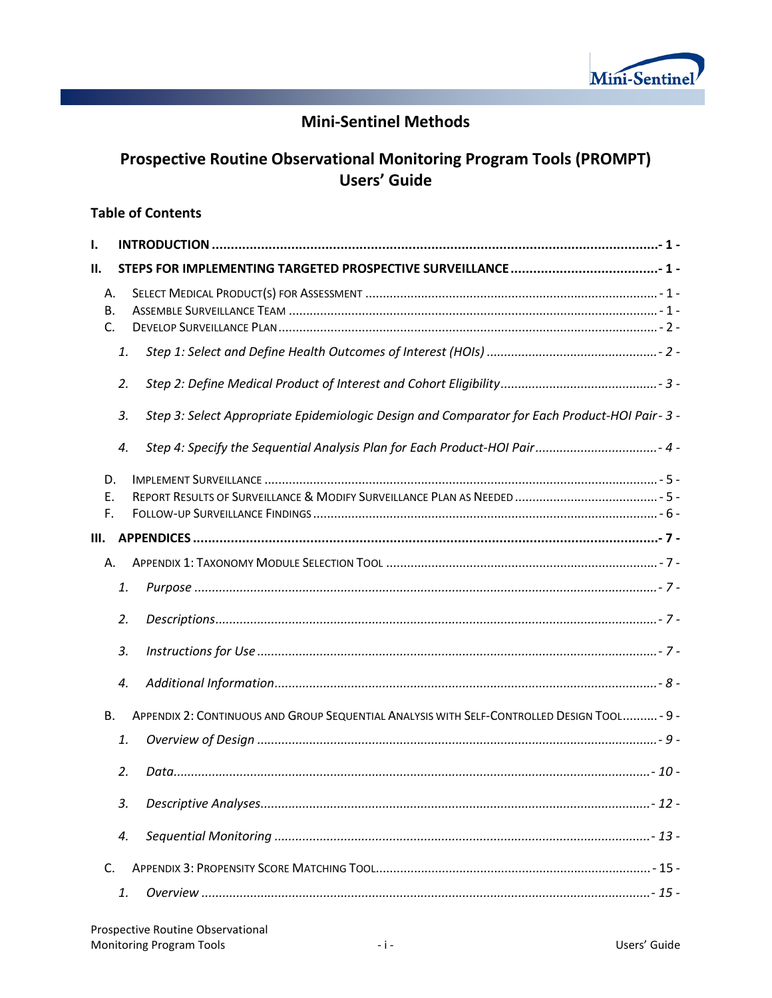

# **Mini-Sentinel Methods**

# **Prospective Routine Observational Monitoring Program Tools (PROMPT) Users' Guide**

## **Table of Contents**

| 1.                    |    |                                                                                              |
|-----------------------|----|----------------------------------------------------------------------------------------------|
| II.                   |    |                                                                                              |
| А.<br><b>B.</b><br>C. |    |                                                                                              |
|                       | 1. |                                                                                              |
|                       | 2. |                                                                                              |
|                       | 3. | Step 3: Select Appropriate Epidemiologic Design and Comparator for Each Product-HOI Pair-3 - |
|                       | 4. | - 4 - Step 4: Specify the Sequential Analysis Plan for Each Product-HOI Pair                 |
| D.<br>E.<br>F.        |    |                                                                                              |
| Ш.                    |    |                                                                                              |
| А.                    |    |                                                                                              |
|                       | 1. |                                                                                              |
|                       | 2. |                                                                                              |
|                       | 3. |                                                                                              |
|                       | 4. |                                                                                              |
| <b>B.</b>             |    | APPENDIX 2: CONTINUOUS AND GROUP SEQUENTIAL ANALYSIS WITH SELF-CONTROLLED DESIGN TOOL- 9 -   |
|                       | 1. |                                                                                              |
|                       | 2. |                                                                                              |
|                       | 3. |                                                                                              |
|                       | 4. |                                                                                              |
| C.                    |    |                                                                                              |
|                       | 1. |                                                                                              |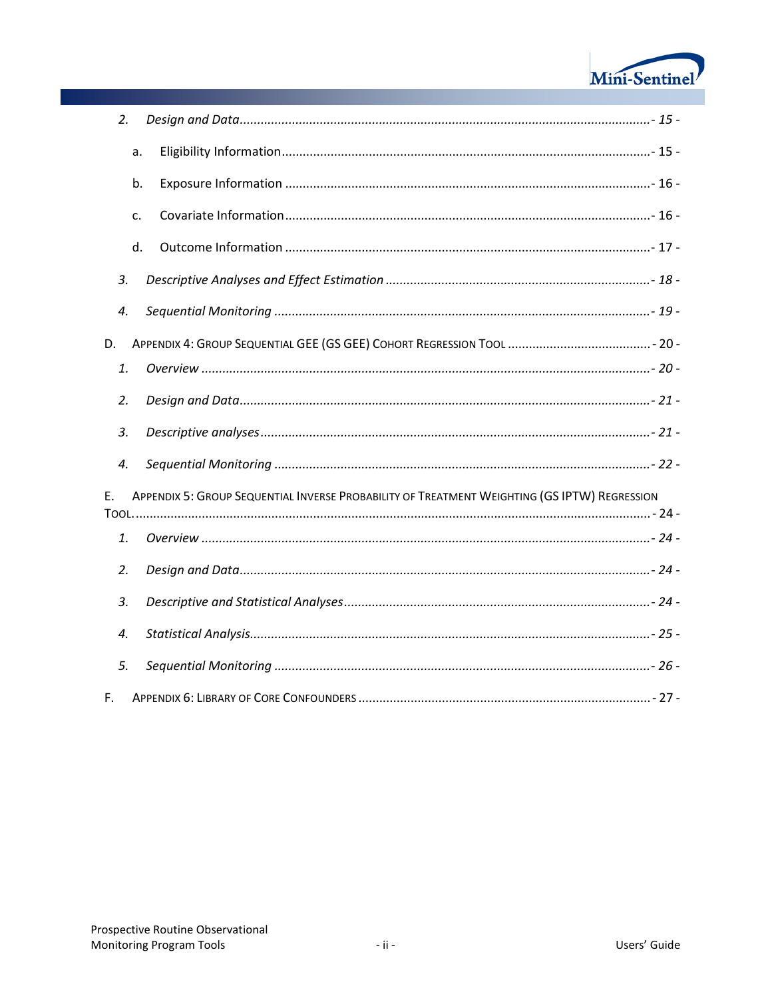

| 2. |                                                                                              |  |
|----|----------------------------------------------------------------------------------------------|--|
|    | a.                                                                                           |  |
|    | b.                                                                                           |  |
|    | c.                                                                                           |  |
|    | d.                                                                                           |  |
| 3. |                                                                                              |  |
| 4. |                                                                                              |  |
| D. |                                                                                              |  |
| 1. |                                                                                              |  |
| 2. |                                                                                              |  |
| 3. |                                                                                              |  |
| 4. |                                                                                              |  |
| E. | APPENDIX 5: GROUP SEQUENTIAL INVERSE PROBABILITY OF TREATMENT WEIGHTING (GS IPTW) REGRESSION |  |
| 1. |                                                                                              |  |
| 2. |                                                                                              |  |
| 3. |                                                                                              |  |
| 4. |                                                                                              |  |
| 5. |                                                                                              |  |
| F. |                                                                                              |  |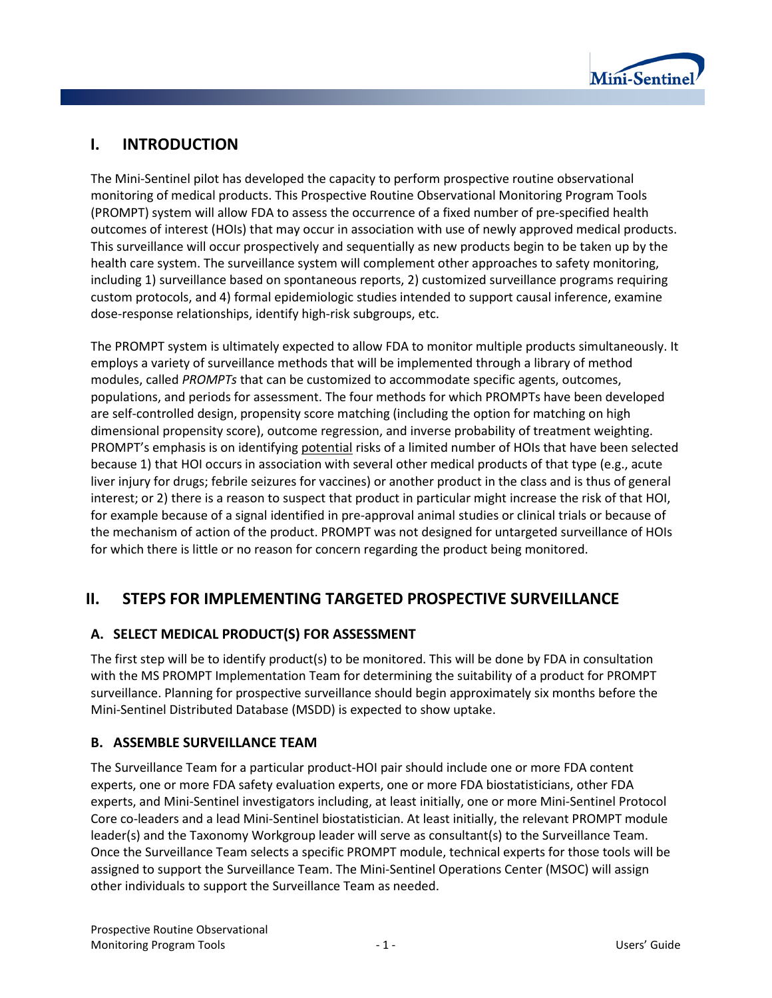

# **I. INTRODUCTION**

The Mini-Sentinel pilot has developed the capacity to perform prospective routine observational monitoring of medical products. This Prospective Routine Observational Monitoring Program Tools (PROMPT) system will allow FDA to assess the occurrence of a fixed number of pre-specified health outcomes of interest (HOIs) that may occur in association with use of newly approved medical products. This surveillance will occur prospectively and sequentially as new products begin to be taken up by the health care system. The surveillance system will complement other approaches to safety monitoring, including 1) surveillance based on spontaneous reports, 2) customized surveillance programs requiring custom protocols, and 4) formal epidemiologic studies intended to support causal inference, examine dose-response relationships, identify high-risk subgroups, etc.

The PROMPT system is ultimately expected to allow FDA to monitor multiple products simultaneously. It employs a variety of surveillance methods that will be implemented through a library of method modules, called *PROMPTs* that can be customized to accommodate specific agents, outcomes, populations, and periods for assessment. The four methods for which PROMPTs have been developed are self-controlled design, propensity score matching (including the option for matching on high dimensional propensity score), outcome regression, and inverse probability of treatment weighting. PROMPT's emphasis is on identifying potential risks of a limited number of HOIs that have been selected because 1) that HOI occurs in association with several other medical products of that type (e.g., acute liver injury for drugs; febrile seizures for vaccines) or another product in the class and is thus of general interest; or 2) there is a reason to suspect that product in particular might increase the risk of that HOI, for example because of a signal identified in pre-approval animal studies or clinical trials or because of the mechanism of action of the product. PROMPT was not designed for untargeted surveillance of HOIs for which there is little or no reason for concern regarding the product being monitored.

# **II. STEPS FOR IMPLEMENTING TARGETED PROSPECTIVE SURVEILLANCE**

## **A. SELECT MEDICAL PRODUCT(S) FOR ASSESSMENT**

The first step will be to identify product(s) to be monitored. This will be done by FDA in consultation with the MS PROMPT Implementation Team for determining the suitability of a product for PROMPT surveillance. Planning for prospective surveillance should begin approximately six months before the Mini-Sentinel Distributed Database (MSDD) is expected to show uptake.

## **B. ASSEMBLE SURVEILLANCE TEAM**

The Surveillance Team for a particular product-HOI pair should include one or more FDA content experts, one or more FDA safety evaluation experts, one or more FDA biostatisticians, other FDA experts, and Mini-Sentinel investigators including, at least initially, one or more Mini-Sentinel Protocol Core co-leaders and a lead Mini-Sentinel biostatistician. At least initially, the relevant PROMPT module leader(s) and the Taxonomy Workgroup leader will serve as consultant(s) to the Surveillance Team. Once the Surveillance Team selects a specific PROMPT module, technical experts for those tools will be assigned to support the Surveillance Team. The Mini-Sentinel Operations Center (MSOC) will assign other individuals to support the Surveillance Team as needed.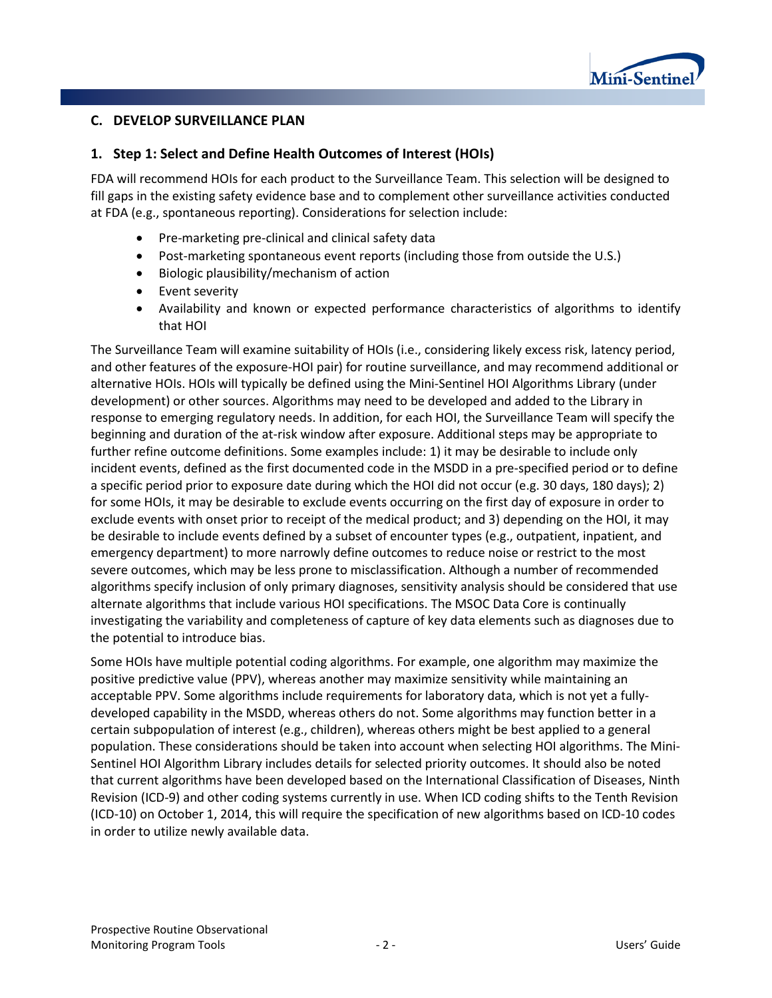

#### **C. DEVELOP SURVEILLANCE PLAN**

#### **1. Step 1: Select and Define Health Outcomes of Interest (HOIs)**

FDA will recommend HOIs for each product to the Surveillance Team. This selection will be designed to fill gaps in the existing safety evidence base and to complement other surveillance activities conducted at FDA (e.g., spontaneous reporting). Considerations for selection include:

- Pre-marketing pre-clinical and clinical safety data
- Post-marketing spontaneous event reports (including those from outside the U.S.)
- Biologic plausibility/mechanism of action
- Event severity
- Availability and known or expected performance characteristics of algorithms to identify that HOI

The Surveillance Team will examine suitability of HOIs (i.e., considering likely excess risk, latency period, and other features of the exposure-HOI pair) for routine surveillance, and may recommend additional or alternative HOIs. HOIs will typically be defined using the Mini-Sentinel HOI Algorithms Library (under development) or other sources. Algorithms may need to be developed and added to the Library in response to emerging regulatory needs. In addition, for each HOI, the Surveillance Team will specify the beginning and duration of the at-risk window after exposure. Additional steps may be appropriate to further refine outcome definitions. Some examples include: 1) it may be desirable to include only incident events, defined as the first documented code in the MSDD in a pre-specified period or to define a specific period prior to exposure date during which the HOI did not occur (e.g. 30 days, 180 days); 2) for some HOIs, it may be desirable to exclude events occurring on the first day of exposure in order to exclude events with onset prior to receipt of the medical product; and 3) depending on the HOI, it may be desirable to include events defined by a subset of encounter types (e.g., outpatient, inpatient, and emergency department) to more narrowly define outcomes to reduce noise or restrict to the most severe outcomes, which may be less prone to misclassification. Although a number of recommended algorithms specify inclusion of only primary diagnoses, sensitivity analysis should be considered that use alternate algorithms that include various HOI specifications. The MSOC Data Core is continually investigating the variability and completeness of capture of key data elements such as diagnoses due to the potential to introduce bias.

Some HOIs have multiple potential coding algorithms. For example, one algorithm may maximize the positive predictive value (PPV), whereas another may maximize sensitivity while maintaining an acceptable PPV. Some algorithms include requirements for laboratory data, which is not yet a fullydeveloped capability in the MSDD, whereas others do not. Some algorithms may function better in a certain subpopulation of interest (e.g., children), whereas others might be best applied to a general population. These considerations should be taken into account when selecting HOI algorithms. The Mini-Sentinel HOI Algorithm Library includes details for selected priority outcomes. It should also be noted that current algorithms have been developed based on the International Classification of Diseases, Ninth Revision (ICD-9) and other coding systems currently in use. When ICD coding shifts to the Tenth Revision (ICD-10) on October 1, 2014, this will require the specification of new algorithms based on ICD-10 codes in order to utilize newly available data.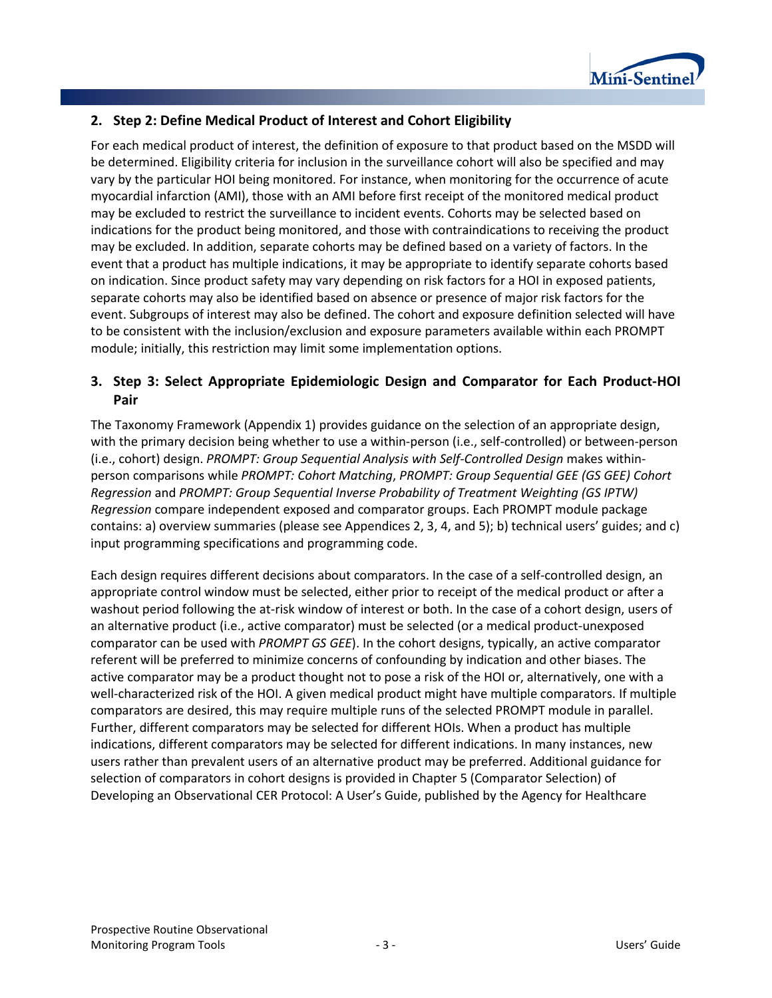

## **2. Step 2: Define Medical Product of Interest and Cohort Eligibility**

For each medical product of interest, the definition of exposure to that product based on the MSDD will be determined. Eligibility criteria for inclusion in the surveillance cohort will also be specified and may vary by the particular HOI being monitored. For instance, when monitoring for the occurrence of acute myocardial infarction (AMI), those with an AMI before first receipt of the monitored medical product may be excluded to restrict the surveillance to incident events. Cohorts may be selected based on indications for the product being monitored, and those with contraindications to receiving the product may be excluded. In addition, separate cohorts may be defined based on a variety of factors. In the event that a product has multiple indications, it may be appropriate to identify separate cohorts based on indication. Since product safety may vary depending on risk factors for a HOI in exposed patients, separate cohorts may also be identified based on absence or presence of major risk factors for the event. Subgroups of interest may also be defined. The cohort and exposure definition selected will have to be consistent with the inclusion/exclusion and exposure parameters available within each PROMPT module; initially, this restriction may limit some implementation options.

## **3. Step 3: Select Appropriate Epidemiologic Design and Comparator for Each Product-HOI Pair**

The Taxonomy Framework (Appendix 1) provides guidance on the selection of an appropriate design, with the primary decision being whether to use a within-person (i.e., self-controlled) or between-person (i.e., cohort) design. *PROMPT: Group Sequential Analysis with Self-Controlled Design* makes withinperson comparisons while *PROMPT: Cohort Matching*, *PROMPT: Group Sequential GEE (GS GEE) Cohort Regression* and *PROMPT: Group Sequential Inverse Probability of Treatment Weighting (GS IPTW) Regression* compare independent exposed and comparator groups. Each PROMPT module package contains: a) overview summaries (please see Appendices 2, 3, 4, and 5); b) technical users' guides; and c) input programming specifications and programming code.

Each design requires different decisions about comparators. In the case of a self-controlled design, an appropriate control window must be selected, either prior to receipt of the medical product or after a washout period following the at-risk window of interest or both. In the case of a cohort design, users of an alternative product (i.e., active comparator) must be selected (or a medical product-unexposed comparator can be used with *PROMPT GS GEE*). In the cohort designs, typically, an active comparator referent will be preferred to minimize concerns of confounding by indication and other biases. The active comparator may be a product thought not to pose a risk of the HOI or, alternatively, one with a well-characterized risk of the HOI. A given medical product might have multiple comparators. If multiple comparators are desired, this may require multiple runs of the selected PROMPT module in parallel. Further, different comparators may be selected for different HOIs. When a product has multiple indications, different comparators may be selected for different indications. In many instances, new users rather than prevalent users of an alternative product may be preferred. Additional guidance for selection of comparators in cohort designs is provided in Chapter 5 (Comparator Selection) of Developing an Observational CER Protocol: A User's Guide, published by the Agency for Healthcare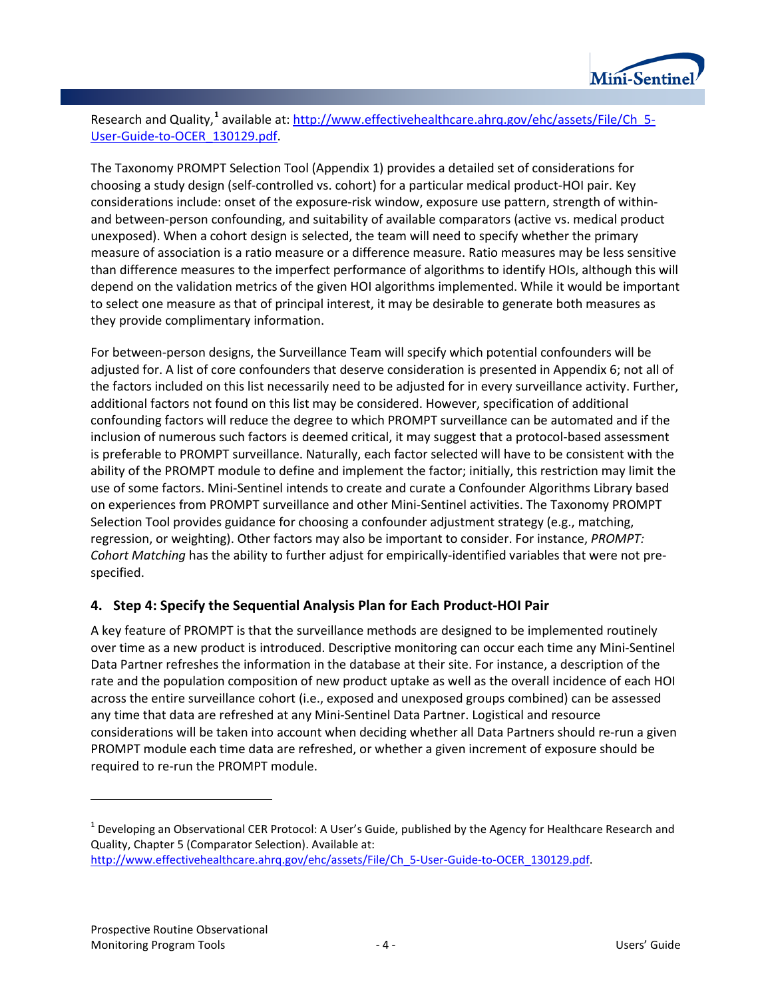

Research and Quality,<sup>[1](#page-6-0)</sup> available at[: http://www.effectivehealthcare.ahrq.gov/ehc/assets/File/Ch\\_5-](http://www.effectivehealthcare.ahrq.gov/ehc/assets/File/Ch_5-User-Guide-to-OCER_130129.pdf) [User-Guide-to-OCER\\_130129.pdf.](http://www.effectivehealthcare.ahrq.gov/ehc/assets/File/Ch_5-User-Guide-to-OCER_130129.pdf)

The Taxonomy PROMPT Selection Tool (Appendix 1) provides a detailed set of considerations for choosing a study design (self-controlled vs. cohort) for a particular medical product-HOI pair. Key considerations include: onset of the exposure-risk window, exposure use pattern, strength of withinand between-person confounding, and suitability of available comparators (active vs. medical product unexposed). When a cohort design is selected, the team will need to specify whether the primary measure of association is a ratio measure or a difference measure. Ratio measures may be less sensitive than difference measures to the imperfect performance of algorithms to identify HOIs, although this will depend on the validation metrics of the given HOI algorithms implemented. While it would be important to select one measure as that of principal interest, it may be desirable to generate both measures as they provide complimentary information.

For between-person designs, the Surveillance Team will specify which potential confounders will be adjusted for. A list of core confounders that deserve consideration is presented in Appendix 6; not all of the factors included on this list necessarily need to be adjusted for in every surveillance activity. Further, additional factors not found on this list may be considered. However, specification of additional confounding factors will reduce the degree to which PROMPT surveillance can be automated and if the inclusion of numerous such factors is deemed critical, it may suggest that a protocol-based assessment is preferable to PROMPT surveillance. Naturally, each factor selected will have to be consistent with the ability of the PROMPT module to define and implement the factor; initially, this restriction may limit the use of some factors. Mini-Sentinel intends to create and curate a Confounder Algorithms Library based on experiences from PROMPT surveillance and other Mini-Sentinel activities. The Taxonomy PROMPT Selection Tool provides guidance for choosing a confounder adjustment strategy (e.g., matching, regression, or weighting). Other factors may also be important to consider. For instance, *PROMPT: Cohort Matching* has the ability to further adjust for empirically-identified variables that were not prespecified.

## **4. Step 4: Specify the Sequential Analysis Plan for Each Product-HOI Pair**

A key feature of PROMPT is that the surveillance methods are designed to be implemented routinely over time as a new product is introduced. Descriptive monitoring can occur each time any Mini-Sentinel Data Partner refreshes the information in the database at their site. For instance, a description of the rate and the population composition of new product uptake as well as the overall incidence of each HOI across the entire surveillance cohort (i.e., exposed and unexposed groups combined) can be assessed any time that data are refreshed at any Mini-Sentinel Data Partner. Logistical and resource considerations will be taken into account when deciding whether all Data Partners should re-run a given PROMPT module each time data are refreshed, or whether a given increment of exposure should be required to re-run the PROMPT module.

l

<span id="page-6-0"></span> $1$  Developing an Observational CER Protocol: A User's Guide, published by the Agency for Healthcare Research and Quality, Chapter 5 (Comparator Selection). Available at: [http://www.effectivehealthcare.ahrq.gov/ehc/assets/File/Ch\\_5-User-Guide-to-OCER\\_130129.pdf.](http://www.effectivehealthcare.ahrq.gov/ehc/assets/File/Ch_5-User-Guide-to-OCER_130129.pdf)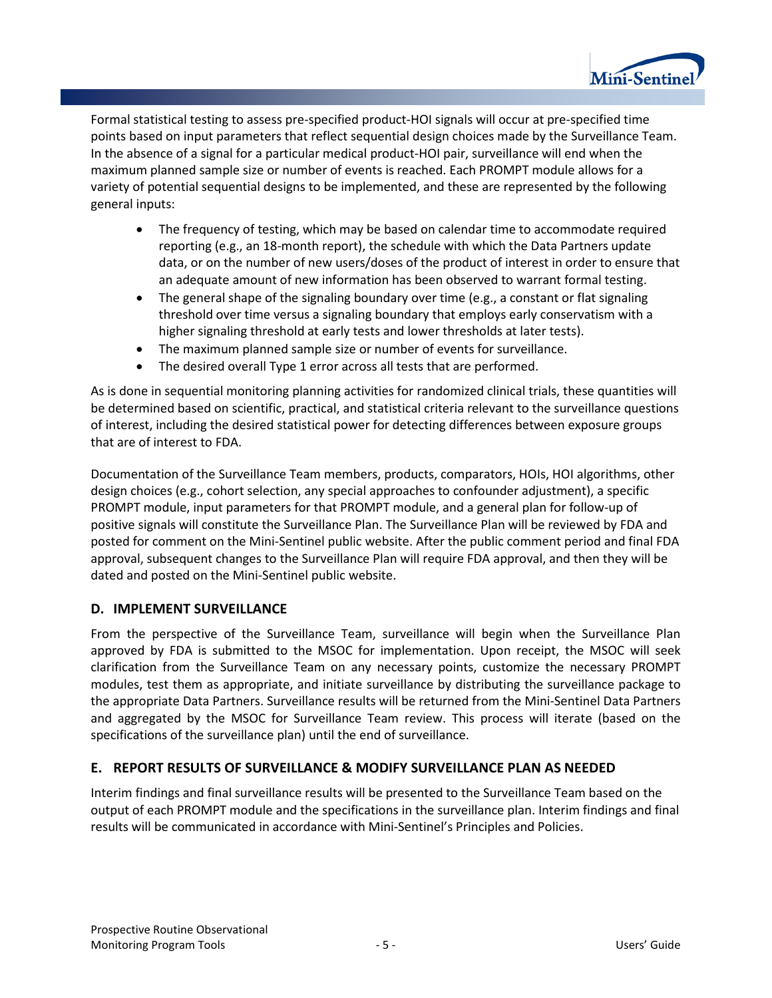

Formal statistical testing to assess pre-specified product-HOI signals will occur at pre-specified time points based on input parameters that reflect sequential design choices made by the Surveillance Team. In the absence of a signal for a particular medical product-HOI pair, surveillance will end when the maximum planned sample size or number of events is reached. Each PROMPT module allows for a variety of potential sequential designs to be implemented, and these are represented by the following general inputs:

- The frequency of testing, which may be based on calendar time to accommodate required reporting (e.g., an 18-month report), the schedule with which the Data Partners update data, or on the number of new users/doses of the product of interest in order to ensure that an adequate amount of new information has been observed to warrant formal testing.
- The general shape of the signaling boundary over time (e.g., a constant or flat signaling threshold over time versus a signaling boundary that employs early conservatism with a higher signaling threshold at early tests and lower thresholds at later tests).
- The maximum planned sample size or number of events for surveillance.
- The desired overall Type 1 error across all tests that are performed.

As is done in sequential monitoring planning activities for randomized clinical trials, these quantities will be determined based on scientific, practical, and statistical criteria relevant to the surveillance questions of interest, including the desired statistical power for detecting differences between exposure groups that are of interest to FDA.

Documentation of the Surveillance Team members, products, comparators, HOIs, HOI algorithms, other design choices (e.g., cohort selection, any special approaches to confounder adjustment), a specific PROMPT module, input parameters for that PROMPT module, and a general plan for follow-up of positive signals will constitute the Surveillance Plan. The Surveillance Plan will be reviewed by FDA and posted for comment on the Mini-Sentinel public website. After the public comment period and final FDA approval, subsequent changes to the Surveillance Plan will require FDA approval, and then they will be dated and posted on the Mini-Sentinel public website.

## **D. IMPLEMENT SURVEILLANCE**

From the perspective of the Surveillance Team, surveillance will begin when the Surveillance Plan approved by FDA is submitted to the MSOC for implementation. Upon receipt, the MSOC will seek clarification from the Surveillance Team on any necessary points, customize the necessary PROMPT modules, test them as appropriate, and initiate surveillance by distributing the surveillance package to the appropriate Data Partners. Surveillance results will be returned from the Mini-Sentinel Data Partners and aggregated by the MSOC for Surveillance Team review. This process will iterate (based on the specifications of the surveillance plan) until the end of surveillance.

## **E. REPORT RESULTS OF SURVEILLANCE & MODIFY SURVEILLANCE PLAN AS NEEDED**

Interim findings and final surveillance results will be presented to the Surveillance Team based on the output of each PROMPT module and the specifications in the surveillance plan. Interim findings and final results will be communicated in accordance with Mini-Sentinel's Principles and Policies.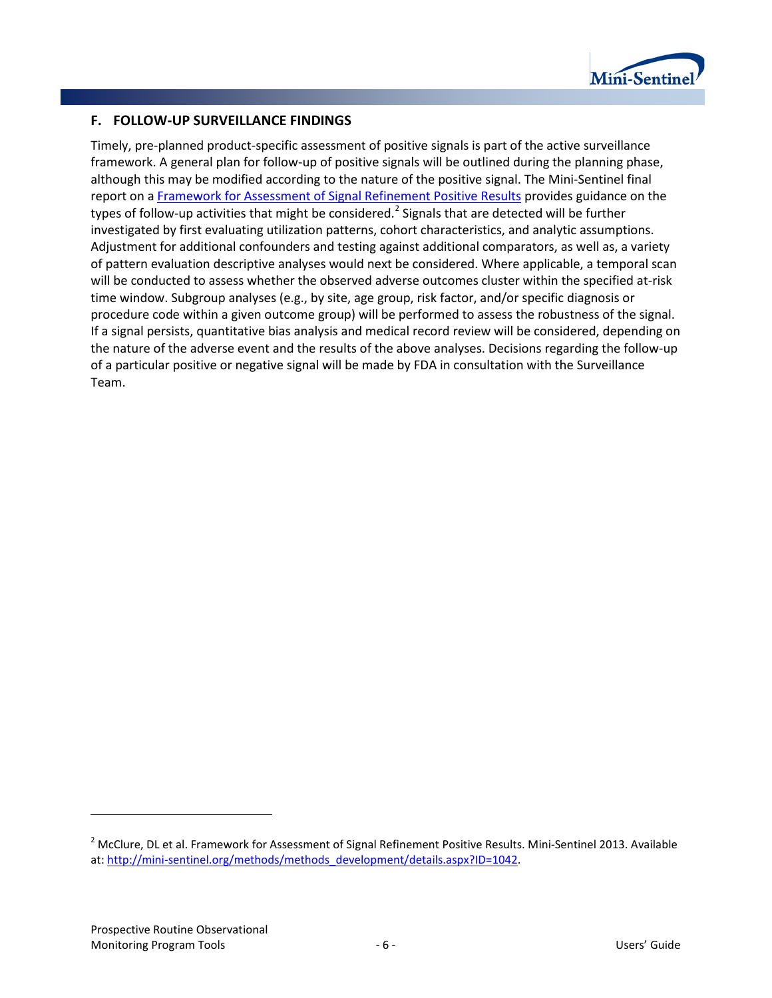

#### **F. FOLLOW-UP SURVEILLANCE FINDINGS**

Timely, pre-planned product-specific assessment of positive signals is part of the active surveillance framework. A general plan for follow-up of positive signals will be outlined during the planning phase, although this may be modified according to the nature of the positive signal. The Mini-Sentinel final report on [a Framework for Assessment of Signal Refinement Positive Results](http://mini-sentinel.org/methods/methods_development/details.aspx?ID=1042) provides guidance on the types of follow-up activities that might be considered.<sup>[2](#page-8-0)</sup> Signals that are detected will be further investigated by first evaluating utilization patterns, cohort characteristics, and analytic assumptions. Adjustment for additional confounders and testing against additional comparators, as well as, a variety of pattern evaluation descriptive analyses would next be considered. Where applicable, a temporal scan will be conducted to assess whether the observed adverse outcomes cluster within the specified at-risk time window. Subgroup analyses (e.g., by site, age group, risk factor, and/or specific diagnosis or procedure code within a given outcome group) will be performed to assess the robustness of the signal. If a signal persists, quantitative bias analysis and medical record review will be considered, depending on the nature of the adverse event and the results of the above analyses. Decisions regarding the follow-up of a particular positive or negative signal will be made by FDA in consultation with the Surveillance Team.

 $\overline{\phantom{a}}$ 

<span id="page-8-0"></span><sup>&</sup>lt;sup>2</sup> McClure, DL et al. Framework for Assessment of Signal Refinement Positive Results. Mini-Sentinel 2013. Available at: [http://mini-sentinel.org/methods/methods\\_development/details.aspx?ID=1042.](http://mini-sentinel.org/methods/methods_development/details.aspx?ID=1042)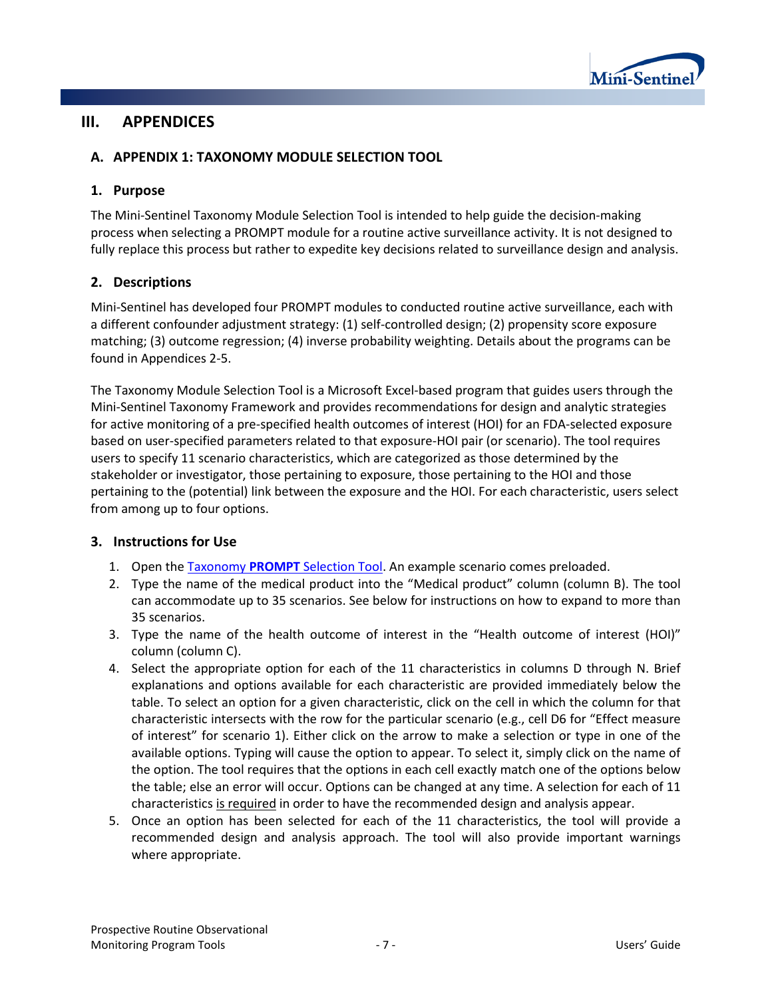

## **III. APPENDICES**

## **A. APPENDIX 1: TAXONOMY MODULE SELECTION TOOL**

#### **1. Purpose**

The Mini-Sentinel Taxonomy Module Selection Tool is intended to help guide the decision-making process when selecting a PROMPT module for a routine active surveillance activity. It is not designed to fully replace this process but rather to expedite key decisions related to surveillance design and analysis.

## **2. Descriptions**

Mini-Sentinel has developed four PROMPT modules to conducted routine active surveillance, each with a different confounder adjustment strategy: (1) self-controlled design; (2) propensity score exposure matching; (3) outcome regression; (4) inverse probability weighting. Details about the programs can be found in Appendices 2-5.

The Taxonomy Module Selection Tool is a Microsoft Excel-based program that guides users through the Mini-Sentinel Taxonomy Framework and provides recommendations for design and analytic strategies for active monitoring of a pre-specified health outcomes of interest (HOI) for an FDA-selected exposure based on user-specified parameters related to that exposure-HOI pair (or scenario). The tool requires users to specify 11 scenario characteristics, which are categorized as those determined by the stakeholder or investigator, those pertaining to exposure, those pertaining to the HOI and those pertaining to the (potential) link between the exposure and the HOI. For each characteristic, users select from among up to four options.

#### **3. Instructions for Use**

- 1. Open the Taxonomy **PROMPT** [Selection Tool.](http://www.minisentinel.org/methods/methods_development/details.aspx?ID=1044) An example scenario comes preloaded.
- 2. Type the name of the medical product into the "Medical product" column (column B). The tool can accommodate up to 35 scenarios. See below for instructions on how to expand to more than 35 scenarios.
- 3. Type the name of the health outcome of interest in the "Health outcome of interest (HOI)" column (column C).
- 4. Select the appropriate option for each of the 11 characteristics in columns D through N. Brief explanations and options available for each characteristic are provided immediately below the table. To select an option for a given characteristic, click on the cell in which the column for that characteristic intersects with the row for the particular scenario (e.g., cell D6 for "Effect measure of interest" for scenario 1). Either click on the arrow to make a selection or type in one of the available options. Typing will cause the option to appear. To select it, simply click on the name of the option. The tool requires that the options in each cell exactly match one of the options below the table; else an error will occur. Options can be changed at any time. A selection for each of 11 characteristics is required in order to have the recommended design and analysis appear.
- 5. Once an option has been selected for each of the 11 characteristics, the tool will provide a recommended design and analysis approach. The tool will also provide important warnings where appropriate.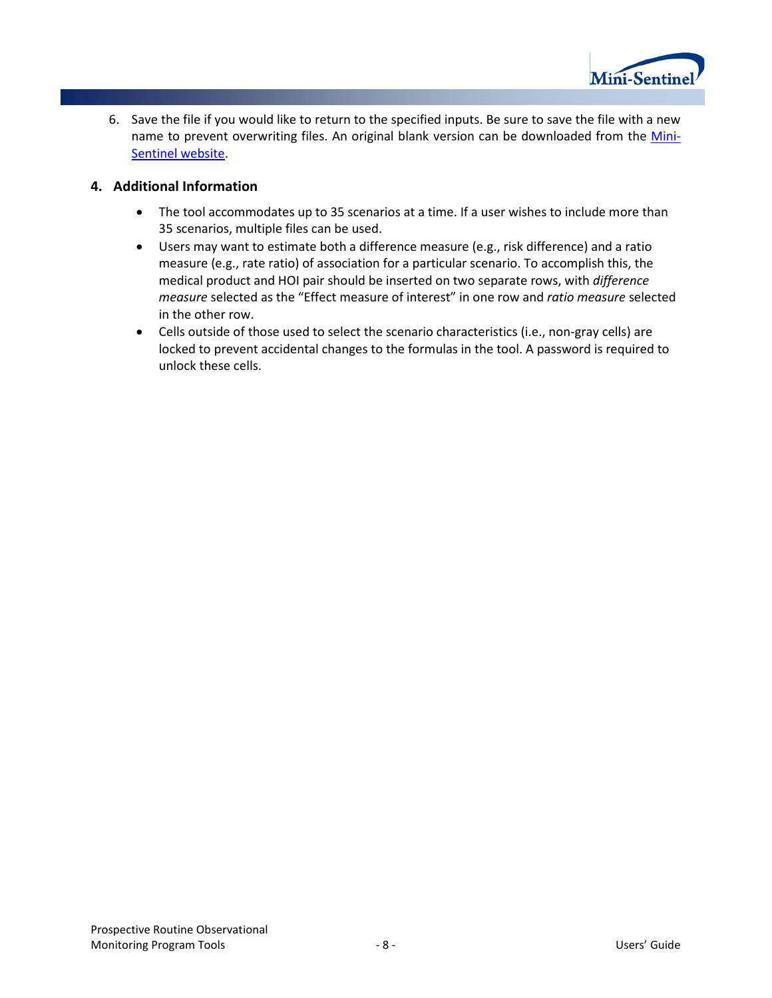

6. Save the file if you would like to return to the specified inputs. Be sure to save the file with a new name to prevent overwriting files. An original blank version can be downloaded from the [Mini-](http://www.minisentinel.org/methods/methods_development/details.aspx?ID=1044)[Sentinel website.](http://www.minisentinel.org/methods/methods_development/details.aspx?ID=1044)

## **4. Additional Information**

- The tool accommodates up to 35 scenarios at a time. If a user wishes to include more than 35 scenarios, multiple files can be used.
- Users may want to estimate both a difference measure (e.g., risk difference) and a ratio measure (e.g., rate ratio) of association for a particular scenario. To accomplish this, the medical product and HOI pair should be inserted on two separate rows, with *difference measure* selected as the "Effect measure of interest" in one row and *ratio measure* selected in the other row.
- Cells outside of those used to select the scenario characteristics (i.e., non-gray cells) are locked to prevent accidental changes to the formulas in the tool. A password is required to unlock these cells.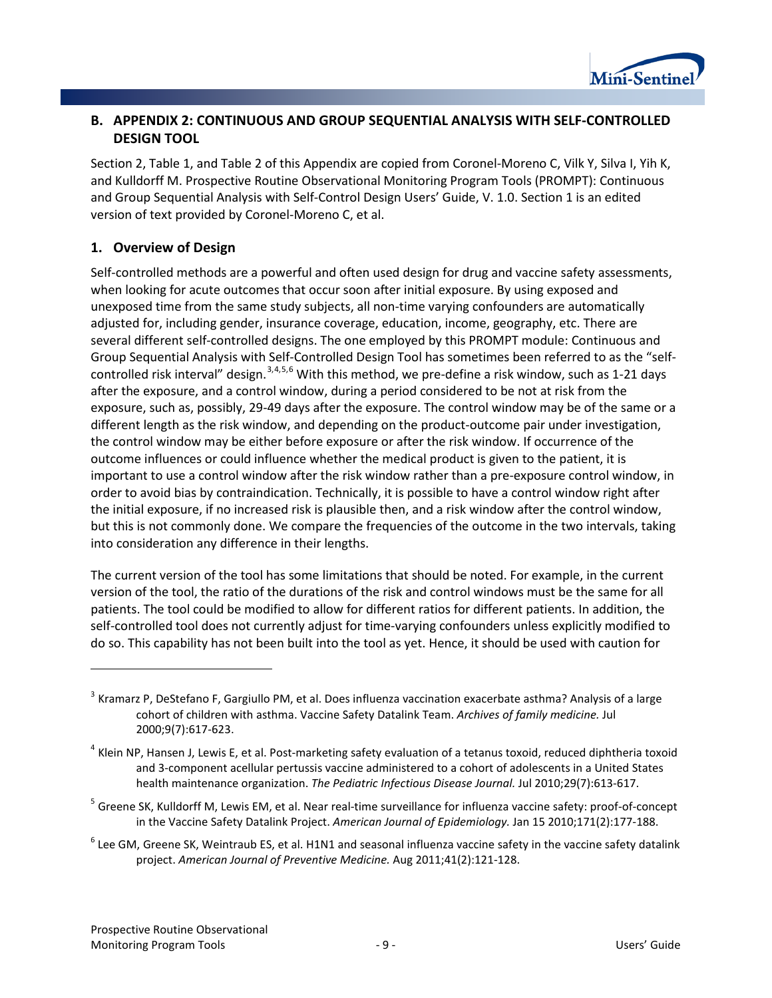

## **B. APPENDIX 2: CONTINUOUS AND GROUP SEQUENTIAL ANALYSIS WITH SELF-CONTROLLED DESIGN TOOL**

Section 2, [Table 1,](#page-12-0) and [Table 2](#page-15-0) of this Appendix are copied from Coronel-Moreno C, Vilk Y, Silva I, Yih K, and Kulldorff M. Prospective Routine Observational Monitoring Program Tools (PROMPT): Continuous and Group Sequential Analysis with Self-Control Design Users' Guide, V. 1.0. Section 1 is an edited version of text provided by Coronel-Moreno C, et al.

## **1. Overview of Design**

Self-controlled methods are a powerful and often used design for drug and vaccine safety assessments, when looking for acute outcomes that occur soon after initial exposure. By using exposed and unexposed time from the same study subjects, all non-time varying confounders are automatically adjusted for, including gender, insurance coverage, education, income, geography, etc. There are several different self-controlled designs. The one employed by this PROMPT module: Continuous and Group Sequential Analysis with Self-Controlled Design Tool has sometimes been referred to as the "selfcontrolled risk interval" design.  $3,4,5,6$  $3,4,5,6$  $3,4,5,6$  $3,4,5,6$  $3,4,5,6$  With this method, we pre-define a risk window, such as 1-21 days after the exposure, and a control window, during a period considered to be not at risk from the exposure, such as, possibly, 29-49 days after the exposure. The control window may be of the same or a different length as the risk window, and depending on the product-outcome pair under investigation, the control window may be either before exposure or after the risk window. If occurrence of the outcome influences or could influence whether the medical product is given to the patient, it is important to use a control window after the risk window rather than a pre-exposure control window, in order to avoid bias by contraindication. Technically, it is possible to have a control window right after the initial exposure, if no increased risk is plausible then, and a risk window after the control window, but this is not commonly done. We compare the frequencies of the outcome in the two intervals, taking into consideration any difference in their lengths.

The current version of the tool has some limitations that should be noted. For example, in the current version of the tool, the ratio of the durations of the risk and control windows must be the same for all patients. The tool could be modified to allow for different ratios for different patients. In addition, the self-controlled tool does not currently adjust for time-varying confounders unless explicitly modified to do so. This capability has not been built into the tool as yet. Hence, it should be used with caution for

 $\overline{\phantom{a}}$ 

<span id="page-11-0"></span><sup>&</sup>lt;sup>3</sup> Kramarz P, DeStefano F, Gargiullo PM, et al. Does influenza vaccination exacerbate asthma? Analysis of a large cohort of children with asthma. Vaccine Safety Datalink Team. *Archives of family medicine.* Jul 2000;9(7):617-623.

<span id="page-11-1"></span> $4$  Klein NP, Hansen J, Lewis E, et al. Post-marketing safety evaluation of a tetanus toxoid, reduced diphtheria toxoid and 3-component acellular pertussis vaccine administered to a cohort of adolescents in a United States health maintenance organization. *The Pediatric Infectious Disease Journal.* Jul 2010;29(7):613-617.

<span id="page-11-2"></span><sup>&</sup>lt;sup>5</sup> Greene SK, Kulldorff M, Lewis EM, et al. Near real-time surveillance for influenza vaccine safety: proof-of-concept in the Vaccine Safety Datalink Project. *American Journal of Epidemiology.* Jan 15 2010;171(2):177-188.

<span id="page-11-3"></span> $6$  Lee GM, Greene SK, Weintraub ES, et al. H1N1 and seasonal influenza vaccine safety in the vaccine safety datalink project. *American Journal of Preventive Medicine.* Aug 2011;41(2):121-128.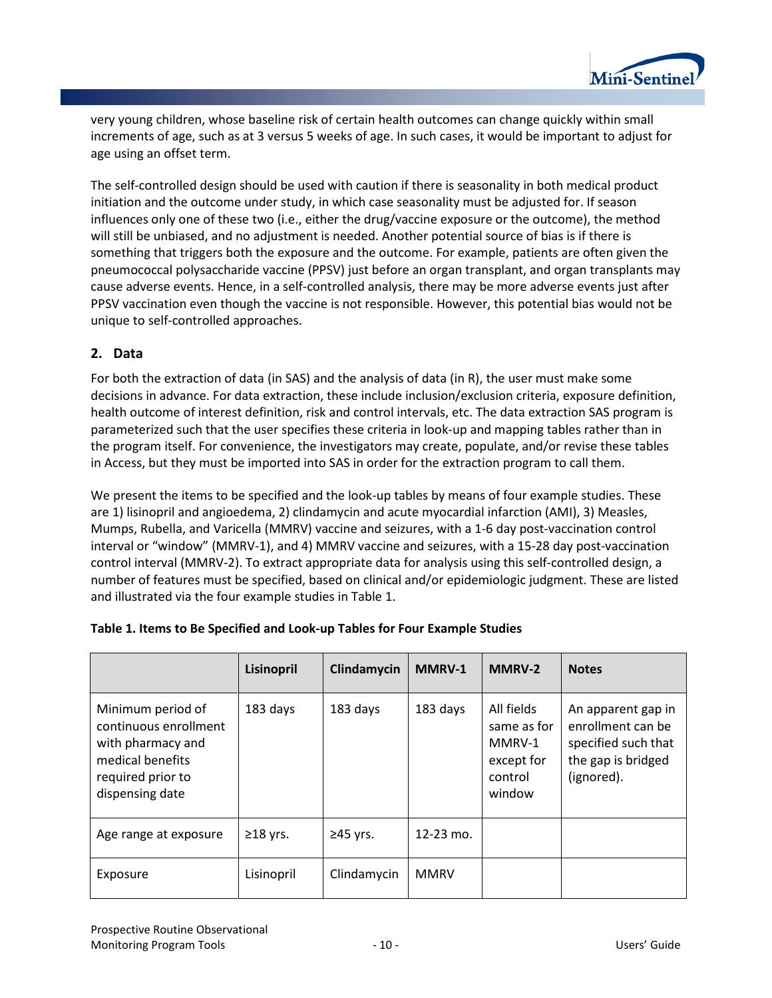

very young children, whose baseline risk of certain health outcomes can change quickly within small increments of age, such as at 3 versus 5 weeks of age. In such cases, it would be important to adjust for age using an offset term.

The self-controlled design should be used with caution if there is seasonality in both medical product initiation and the outcome under study, in which case seasonality must be adjusted for. If season influences only one of these two (i.e., either the drug/vaccine exposure or the outcome), the method will still be unbiased, and no adjustment is needed. Another potential source of bias is if there is something that triggers both the exposure and the outcome. For example, patients are often given the pneumococcal polysaccharide vaccine (PPSV) just before an organ transplant, and organ transplants may cause adverse events. Hence, in a self-controlled analysis, there may be more adverse events just after PPSV vaccination even though the vaccine is not responsible. However, this potential bias would not be unique to self-controlled approaches.

#### **2. Data**

For both the extraction of data (in SAS) and the analysis of data (in R), the user must make some decisions in advance. For data extraction, these include inclusion/exclusion criteria, exposure definition, health outcome of interest definition, risk and control intervals, etc. The data extraction SAS program is parameterized such that the user specifies these criteria in look-up and mapping tables rather than in the program itself. For convenience, the investigators may create, populate, and/or revise these tables in Access, but they must be imported into SAS in order for the extraction program to call them.

We present the items to be specified and the look-up tables by means of four example studies. These are 1) lisinopril and angioedema, 2) clindamycin and acute myocardial infarction (AMI), 3) Measles, Mumps, Rubella, and Varicella (MMRV) vaccine and seizures, with a 1-6 day post-vaccination control interval or "window" (MMRV-1), and 4) MMRV vaccine and seizures, with a 15-28 day post-vaccination control interval (MMRV-2). To extract appropriate data for analysis using this self-controlled design, a number of features must be specified, based on clinical and/or epidemiologic judgment. These are listed and illustrated via the four example studies in [Table 1.](#page-12-0) 

|                                                                                                                             | Lisinopril     | Clindamycin    | MMRV-1      | <b>MMRV-2</b>                                                          | <b>Notes</b>                                                                                       |
|-----------------------------------------------------------------------------------------------------------------------------|----------------|----------------|-------------|------------------------------------------------------------------------|----------------------------------------------------------------------------------------------------|
| Minimum period of<br>continuous enrollment<br>with pharmacy and<br>medical benefits<br>required prior to<br>dispensing date | 183 days       | 183 days       | 183 days    | All fields<br>same as for<br>MMRV-1<br>except for<br>control<br>window | An apparent gap in<br>enrollment can be<br>specified such that<br>the gap is bridged<br>(ignored). |
| Age range at exposure                                                                                                       | $\geq$ 18 yrs. | $\geq$ 45 yrs. | 12-23 mo.   |                                                                        |                                                                                                    |
| Exposure                                                                                                                    | Lisinopril     | Clindamycin    | <b>MMRV</b> |                                                                        |                                                                                                    |

#### <span id="page-12-0"></span>**Table 1. Items to Be Specified and Look-up Tables for Four Example Studies**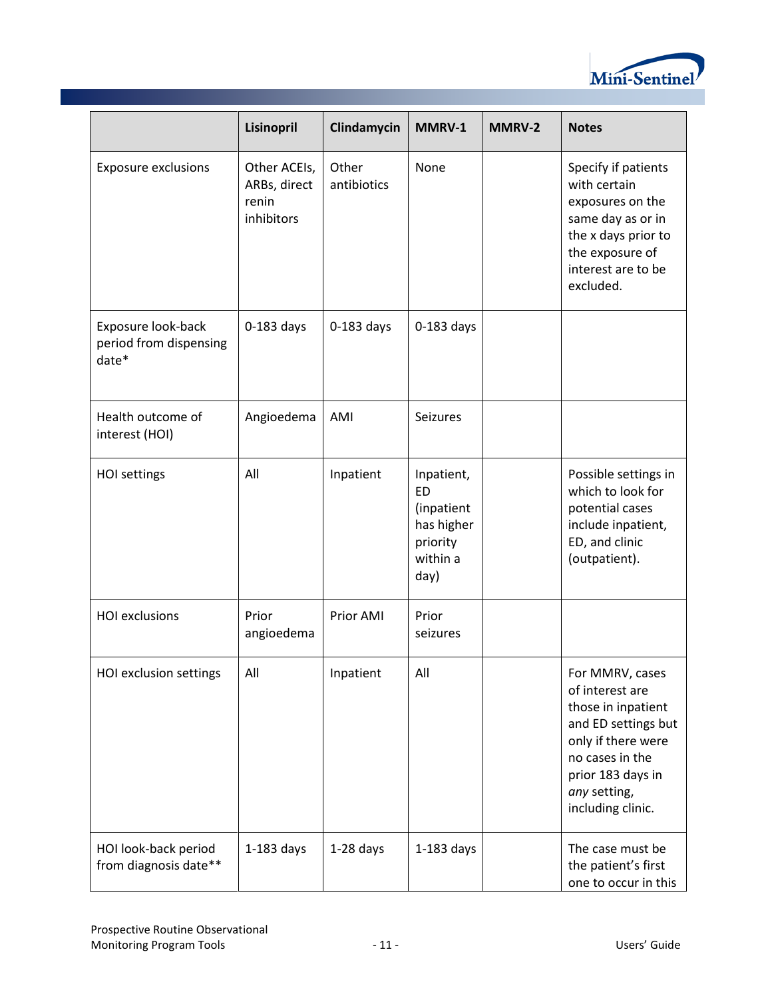

|                                                       | Lisinopril                                          | Clindamycin          | MMRV-1                                                                              | MMRV-2 | <b>Notes</b>                                                                                                                                                                       |
|-------------------------------------------------------|-----------------------------------------------------|----------------------|-------------------------------------------------------------------------------------|--------|------------------------------------------------------------------------------------------------------------------------------------------------------------------------------------|
| <b>Exposure exclusions</b>                            | Other ACEIs,<br>ARBs, direct<br>renin<br>inhibitors | Other<br>antibiotics | None                                                                                |        | Specify if patients<br>with certain<br>exposures on the<br>same day as or in<br>the x days prior to<br>the exposure of<br>interest are to be<br>excluded.                          |
| Exposure look-back<br>period from dispensing<br>date* | $0-183$ days                                        | $0-183$ days         | $0-183$ days                                                                        |        |                                                                                                                                                                                    |
| Health outcome of<br>interest (HOI)                   | Angioedema                                          | AMI                  | <b>Seizures</b>                                                                     |        |                                                                                                                                                                                    |
| <b>HOI settings</b>                                   | All                                                 | Inpatient            | Inpatient,<br><b>ED</b><br>(inpatient<br>has higher<br>priority<br>within a<br>day) |        | Possible settings in<br>which to look for<br>potential cases<br>include inpatient,<br>ED, and clinic<br>(outpatient).                                                              |
| <b>HOI</b> exclusions                                 | Prior<br>angioedema                                 | Prior AMI            | Prior<br>seizures                                                                   |        |                                                                                                                                                                                    |
| HOI exclusion settings                                | All                                                 | Inpatient            | All                                                                                 |        | For MMRV, cases<br>of interest are<br>those in inpatient<br>and ED settings but<br>only if there were<br>no cases in the<br>prior 183 days in<br>any setting,<br>including clinic. |
| HOI look-back period<br>from diagnosis date**         | $1-183$ days                                        | $1-28$ days          | $1-183$ days                                                                        |        | The case must be<br>the patient's first<br>one to occur in this                                                                                                                    |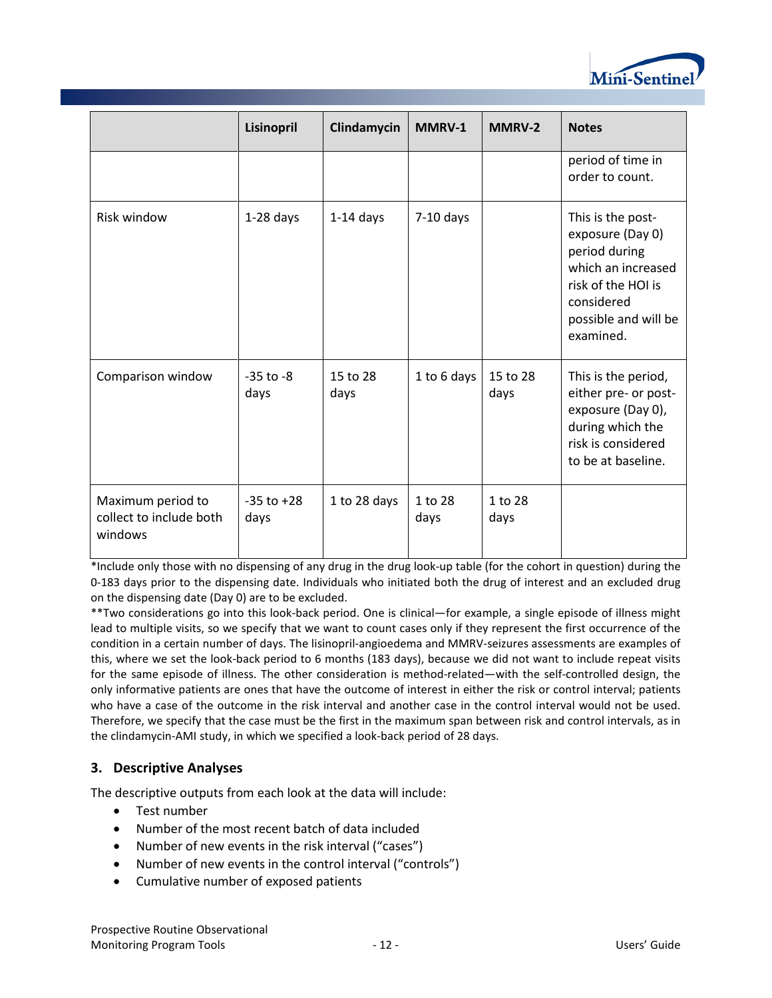

|                                                         | Lisinopril             | Clindamycin      | MMRV-1          | <b>MMRV-2</b>    | <b>Notes</b>                                                                                                                                          |
|---------------------------------------------------------|------------------------|------------------|-----------------|------------------|-------------------------------------------------------------------------------------------------------------------------------------------------------|
|                                                         |                        |                  |                 |                  | period of time in<br>order to count.                                                                                                                  |
| Risk window                                             | $1-28$ days            | $1-14$ days      | $7-10$ days     |                  | This is the post-<br>exposure (Day 0)<br>period during<br>which an increased<br>risk of the HOI is<br>considered<br>possible and will be<br>examined. |
| Comparison window                                       | $-35$ to $-8$<br>days  | 15 to 28<br>days | 1 to 6 days     | 15 to 28<br>days | This is the period,<br>either pre- or post-<br>exposure (Day 0),<br>during which the<br>risk is considered<br>to be at baseline.                      |
| Maximum period to<br>collect to include both<br>windows | $-35$ to $+28$<br>days | 1 to 28 days     | 1 to 28<br>days | 1 to 28<br>days  |                                                                                                                                                       |

\*Include only those with no dispensing of any drug in the drug look-up table (for the cohort in question) during the 0-183 days prior to the dispensing date. Individuals who initiated both the drug of interest and an excluded drug on the dispensing date (Day 0) are to be excluded.

\*\*Two considerations go into this look-back period. One is clinical—for example, a single episode of illness might lead to multiple visits, so we specify that we want to count cases only if they represent the first occurrence of the condition in a certain number of days. The lisinopril-angioedema and MMRV-seizures assessments are examples of this, where we set the look-back period to 6 months (183 days), because we did not want to include repeat visits for the same episode of illness. The other consideration is method-related—with the self-controlled design, the only informative patients are ones that have the outcome of interest in either the risk or control interval; patients who have a case of the outcome in the risk interval and another case in the control interval would not be used. Therefore, we specify that the case must be the first in the maximum span between risk and control intervals, as in the clindamycin-AMI study, in which we specified a look-back period of 28 days.

## **3. Descriptive Analyses**

The descriptive outputs from each look at the data will include:

- Test number
- Number of the most recent batch of data included
- Number of new events in the risk interval ("cases")
- Number of new events in the control interval ("controls")
- Cumulative number of exposed patients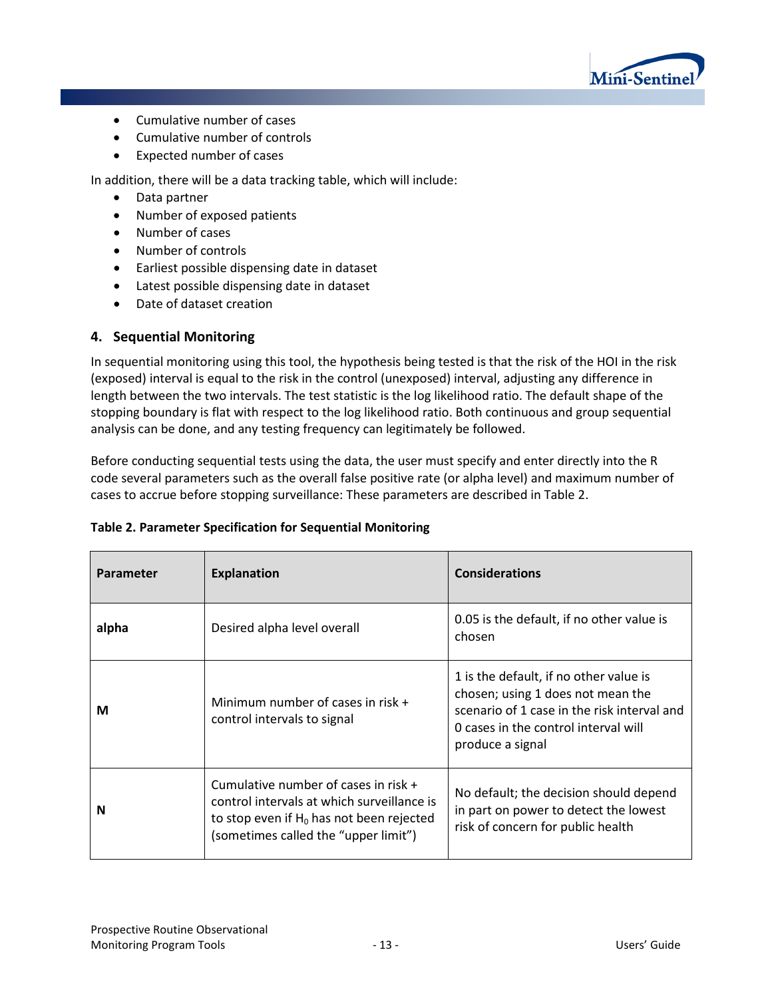

- Cumulative number of cases
- Cumulative number of controls
- Expected number of cases

In addition, there will be a data tracking table, which will include:

- Data partner
- Number of exposed patients
- Number of cases
- Number of controls
- Earliest possible dispensing date in dataset
- Latest possible dispensing date in dataset
- Date of dataset creation

## **4. Sequential Monitoring**

In sequential monitoring using this tool, the hypothesis being tested is that the risk of the HOI in the risk (exposed) interval is equal to the risk in the control (unexposed) interval, adjusting any difference in length between the two intervals. The test statistic is the log likelihood ratio. The default shape of the stopping boundary is flat with respect to the log likelihood ratio. Both continuous and group sequential analysis can be done, and any testing frequency can legitimately be followed.

Before conducting sequential tests using the data, the user must specify and enter directly into the R code several parameters such as the overall false positive rate (or alpha level) and maximum number of cases to accrue before stopping surveillance: These parameters are described i[n Table 2.](#page-15-0)

| <b>Parameter</b> | <b>Explanation</b>                                                                                                                                                          | <b>Considerations</b>                                                                                                                                                                  |
|------------------|-----------------------------------------------------------------------------------------------------------------------------------------------------------------------------|----------------------------------------------------------------------------------------------------------------------------------------------------------------------------------------|
| alpha            | Desired alpha level overall                                                                                                                                                 | 0.05 is the default, if no other value is<br>chosen                                                                                                                                    |
| М                | Minimum number of cases in risk $+$<br>control intervals to signal                                                                                                          | 1 is the default, if no other value is<br>chosen; using 1 does not mean the<br>scenario of 1 case in the risk interval and<br>0 cases in the control interval will<br>produce a signal |
| N                | Cumulative number of cases in risk $+$<br>control intervals at which surveillance is<br>to stop even if $H_0$ has not been rejected<br>(sometimes called the "upper limit") | No default; the decision should depend<br>in part on power to detect the lowest<br>risk of concern for public health                                                                   |

## <span id="page-15-0"></span>**Table 2. Parameter Specification for Sequential Monitoring**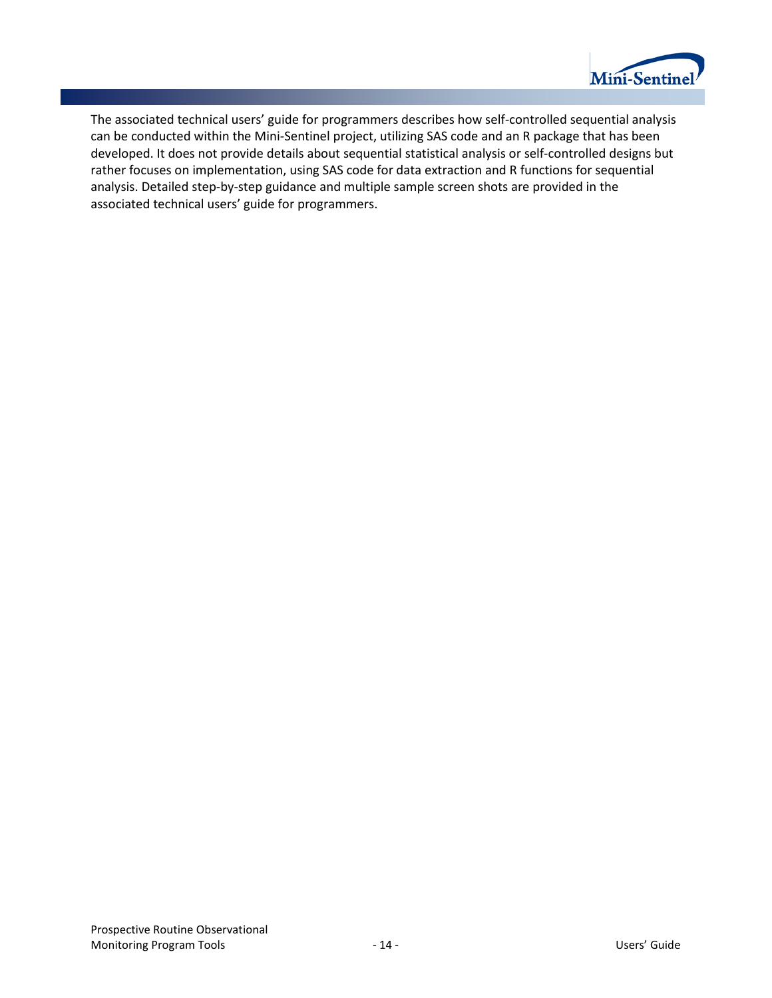

The associated technical users' guide for programmers describes how self-controlled sequential analysis can be conducted within the Mini-Sentinel project, utilizing SAS code and an R package that has been developed. It does not provide details about sequential statistical analysis or self-controlled designs but rather focuses on implementation, using SAS code for data extraction and R functions for sequential analysis. Detailed step-by-step guidance and multiple sample screen shots are provided in the associated technical users' guide for programmers.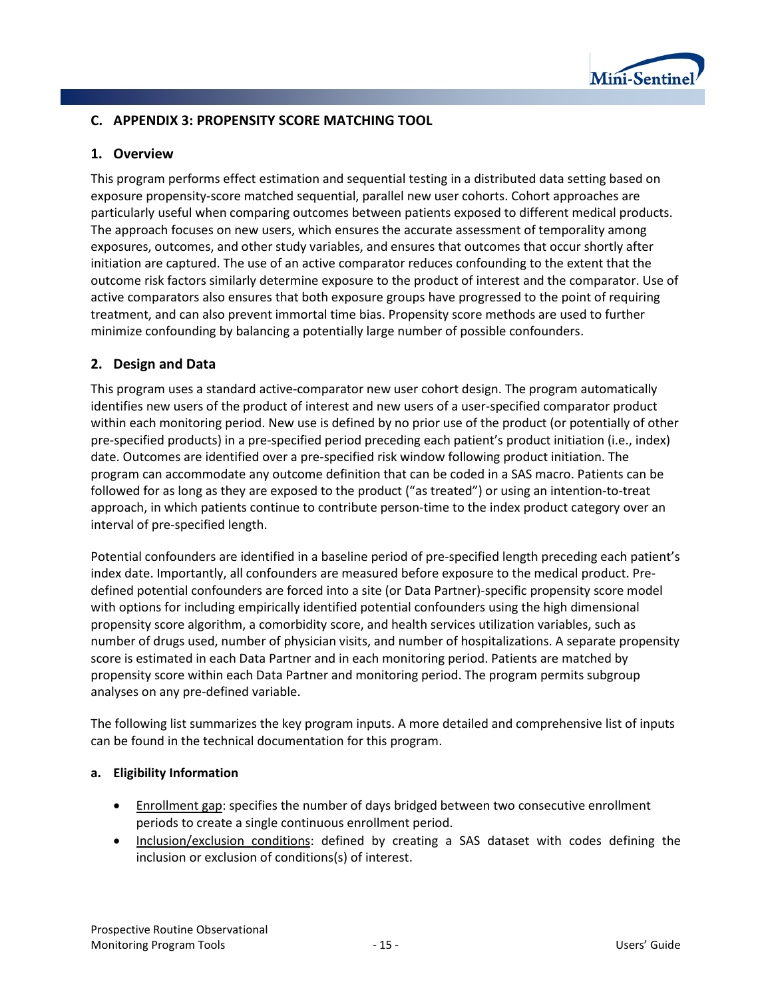

#### **C. APPENDIX 3: PROPENSITY SCORE MATCHING TOOL**

#### **1. Overview**

This program performs effect estimation and sequential testing in a distributed data setting based on exposure propensity-score matched sequential, parallel new user cohorts. Cohort approaches are particularly useful when comparing outcomes between patients exposed to different medical products. The approach focuses on new users, which ensures the accurate assessment of temporality among exposures, outcomes, and other study variables, and ensures that outcomes that occur shortly after initiation are captured. The use of an active comparator reduces confounding to the extent that the outcome risk factors similarly determine exposure to the product of interest and the comparator. Use of active comparators also ensures that both exposure groups have progressed to the point of requiring treatment, and can also prevent immortal time bias. Propensity score methods are used to further minimize confounding by balancing a potentially large number of possible confounders.

#### **2. Design and Data**

This program uses a standard active-comparator new user cohort design. The program automatically identifies new users of the product of interest and new users of a user-specified comparator product within each monitoring period. New use is defined by no prior use of the product (or potentially of other pre-specified products) in a pre-specified period preceding each patient's product initiation (i.e., index) date. Outcomes are identified over a pre-specified risk window following product initiation. The program can accommodate any outcome definition that can be coded in a SAS macro. Patients can be followed for as long as they are exposed to the product ("as treated") or using an intention-to-treat approach, in which patients continue to contribute person-time to the index product category over an interval of pre-specified length.

Potential confounders are identified in a baseline period of pre-specified length preceding each patient's index date. Importantly, all confounders are measured before exposure to the medical product. Predefined potential confounders are forced into a site (or Data Partner)-specific propensity score model with options for including empirically identified potential confounders using the high dimensional propensity score algorithm, a comorbidity score, and health services utilization variables, such as number of drugs used, number of physician visits, and number of hospitalizations. A separate propensity score is estimated in each Data Partner and in each monitoring period. Patients are matched by propensity score within each Data Partner and monitoring period. The program permits subgroup analyses on any pre-defined variable.

The following list summarizes the key program inputs. A more detailed and comprehensive list of inputs can be found in the technical documentation for this program.

#### **a. Eligibility Information**

- Enrollment gap: specifies the number of days bridged between two consecutive enrollment periods to create a single continuous enrollment period.
- Inclusion/exclusion conditions: defined by creating a SAS dataset with codes defining the inclusion or exclusion of conditions(s) of interest.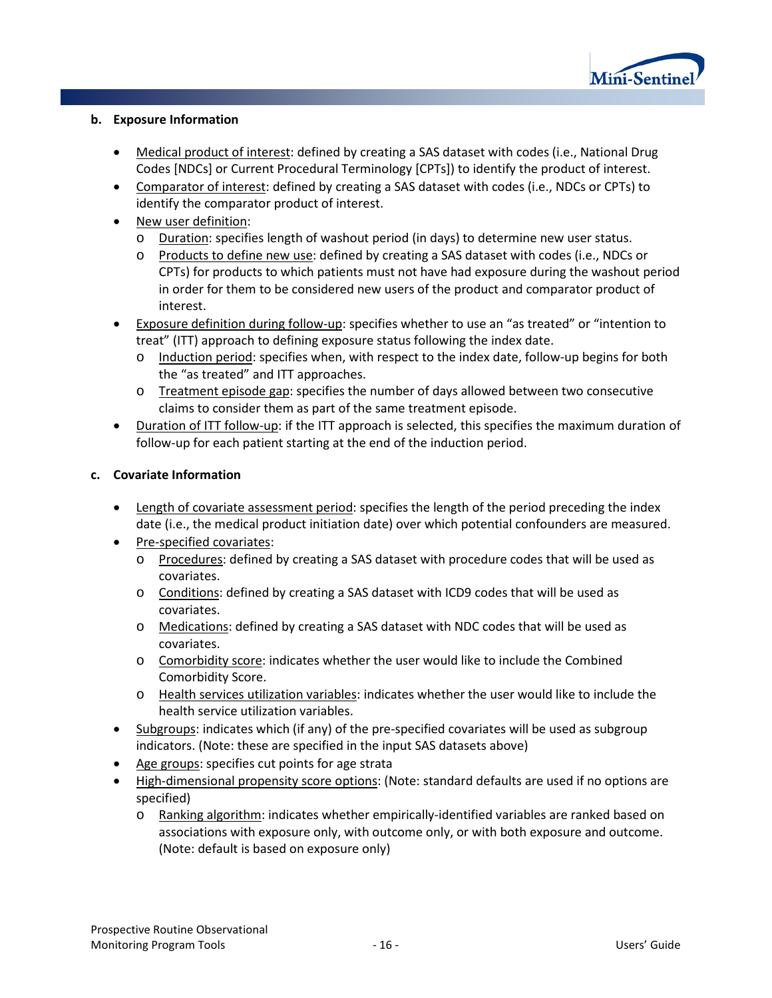

#### **b. Exposure Information**

- Medical product of interest: defined by creating a SAS dataset with codes (i.e., National Drug Codes [NDCs] or Current Procedural Terminology [CPTs]) to identify the product of interest.
- Comparator of interest: defined by creating a SAS dataset with codes (i.e., NDCs or CPTs) to identify the comparator product of interest.
- New user definition:
	- o Duration: specifies length of washout period (in days) to determine new user status.
	- o Products to define new use: defined by creating a SAS dataset with codes (i.e., NDCs or CPTs) for products to which patients must not have had exposure during the washout period in order for them to be considered new users of the product and comparator product of interest.
- Exposure definition during follow-up: specifies whether to use an "as treated" or "intention to treat" (ITT) approach to defining exposure status following the index date.
	- o Induction period: specifies when, with respect to the index date, follow-up begins for both the "as treated" and ITT approaches.
	- o Treatment episode gap: specifies the number of days allowed between two consecutive claims to consider them as part of the same treatment episode.
- Duration of ITT follow-up: if the ITT approach is selected, this specifies the maximum duration of follow-up for each patient starting at the end of the induction period.

#### **c. Covariate Information**

- Length of covariate assessment period: specifies the length of the period preceding the index date (i.e., the medical product initiation date) over which potential confounders are measured.
- Pre-specified covariates:
	- o Procedures: defined by creating a SAS dataset with procedure codes that will be used as covariates.
	- o Conditions: defined by creating a SAS dataset with ICD9 codes that will be used as covariates.
	- o Medications: defined by creating a SAS dataset with NDC codes that will be used as covariates.
	- o Comorbidity score: indicates whether the user would like to include the Combined Comorbidity Score.
	- o Health services utilization variables: indicates whether the user would like to include the health service utilization variables.
- Subgroups: indicates which (if any) of the pre-specified covariates will be used as subgroup indicators. (Note: these are specified in the input SAS datasets above)
- Age groups: specifies cut points for age strata
- High-dimensional propensity score options: (Note: standard defaults are used if no options are specified)
	- o Ranking algorithm: indicates whether empirically-identified variables are ranked based on associations with exposure only, with outcome only, or with both exposure and outcome. (Note: default is based on exposure only)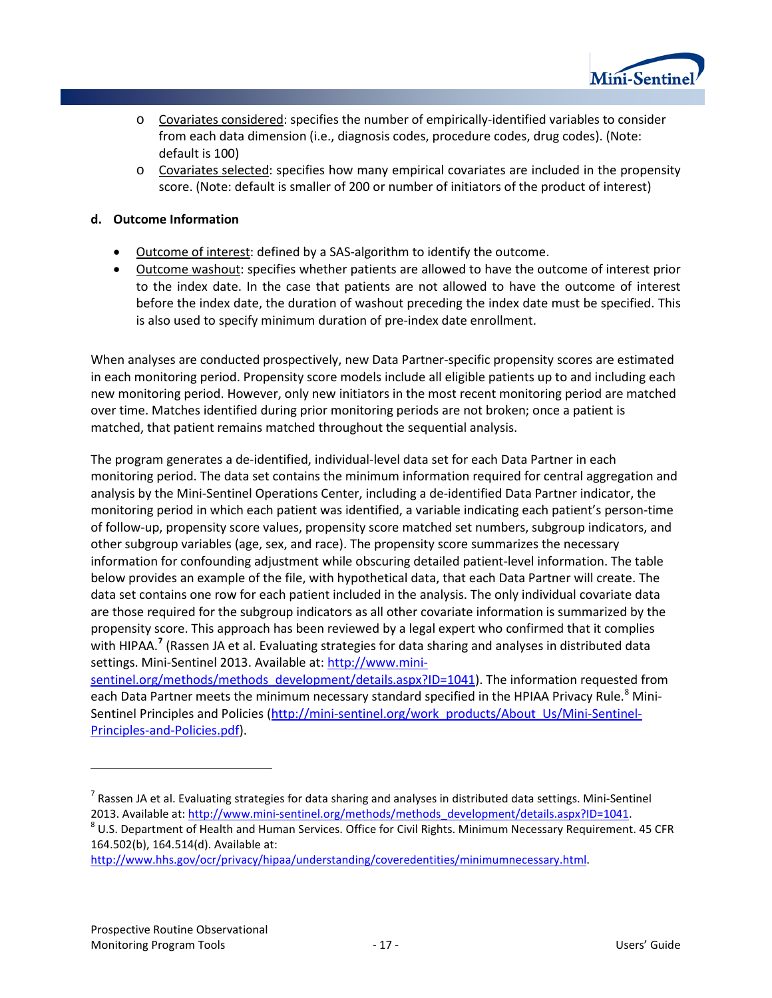

- o Covariates considered: specifies the number of empirically-identified variables to consider from each data dimension (i.e., diagnosis codes, procedure codes, drug codes). (Note: default is 100)
- $\circ$  Covariates selected: specifies how many empirical covariates are included in the propensity score. (Note: default is smaller of 200 or number of initiators of the product of interest)

#### **d. Outcome Information**

- Outcome of interest: defined by a SAS-algorithm to identify the outcome.
- Outcome washout: specifies whether patients are allowed to have the outcome of interest prior to the index date. In the case that patients are not allowed to have the outcome of interest before the index date, the duration of washout preceding the index date must be specified. This is also used to specify minimum duration of pre-index date enrollment.

When analyses are conducted prospectively, new Data Partner-specific propensity scores are estimated in each monitoring period. Propensity score models include all eligible patients up to and including each new monitoring period. However, only new initiators in the most recent monitoring period are matched over time. Matches identified during prior monitoring periods are not broken; once a patient is matched, that patient remains matched throughout the sequential analysis.

The program generates a de-identified, individual-level data set for each Data Partner in each monitoring period. The data set contains the minimum information required for central aggregation and analysis by the Mini-Sentinel Operations Center, including a de-identified Data Partner indicator, the monitoring period in which each patient was identified, a variable indicating each patient's person-time of follow-up, propensity score values, propensity score matched set numbers, subgroup indicators, and other subgroup variables (age, sex, and race). The propensity score summarizes the necessary information for confounding adjustment while obscuring detailed patient-level information. The table below provides an example of the file, with hypothetical data, that each Data Partner will create. The data set contains one row for each patient included in the analysis. The only individual covariate data are those required for the subgroup indicators as all other covariate information is summarized by the propensity score. This approach has been reviewed by a legal expert who confirmed that it complies with HIPAA. **[7](#page-19-0)** (Rassen JA et al. Evaluating strategies for data sharing and analyses in distributed data settings. Mini-Sentinel 2013. Available at[: http://www.mini-](http://www.mini-sentinel.org/methods/methods_development/details.aspx?ID=1041)

[sentinel.org/methods/methods\\_development/details.aspx?ID=1041\)](http://www.mini-sentinel.org/methods/methods_development/details.aspx?ID=1041). The information requested from each Data Partner meets the minimum necessary standard specified in the HPIAA Privacy Rule.<sup>[8](#page-19-1)</sup> Mini-Sentinel Principles and Policies [\(http://mini-sentinel.org/work\\_products/About\\_Us/Mini-Sentinel-](http://mini-sentinel.org/work_products/About_Us/Mini-Sentinel-Principles-and-Policies.pdf)[Principles-and-Policies.pdf\)](http://mini-sentinel.org/work_products/About_Us/Mini-Sentinel-Principles-and-Policies.pdf).

[http://www.hhs.gov/ocr/privacy/hipaa/understanding/coveredentities/minimumnecessary.html.](http://www.hhs.gov/ocr/privacy/hipaa/understanding/coveredentities/minimumnecessary.html)

l

<span id="page-19-0"></span> $<sup>7</sup>$  Rassen JA et al. Evaluating strategies for data sharing and analyses in distributed data settings. Mini-Sentinel</sup>

<span id="page-19-1"></span><sup>2013.</sup> Available at[: http://www.mini-sentinel.org/methods/methods\\_development/details.aspx?ID=1041.](http://www.mini-sentinel.org/methods/methods_development/details.aspx?ID=1041) 8 U.S. Department of Health and Human Services. Office for Civil Rights. Minimum Necessary Requirement. 45 CFR 164.502(b), 164.514(d). Available at: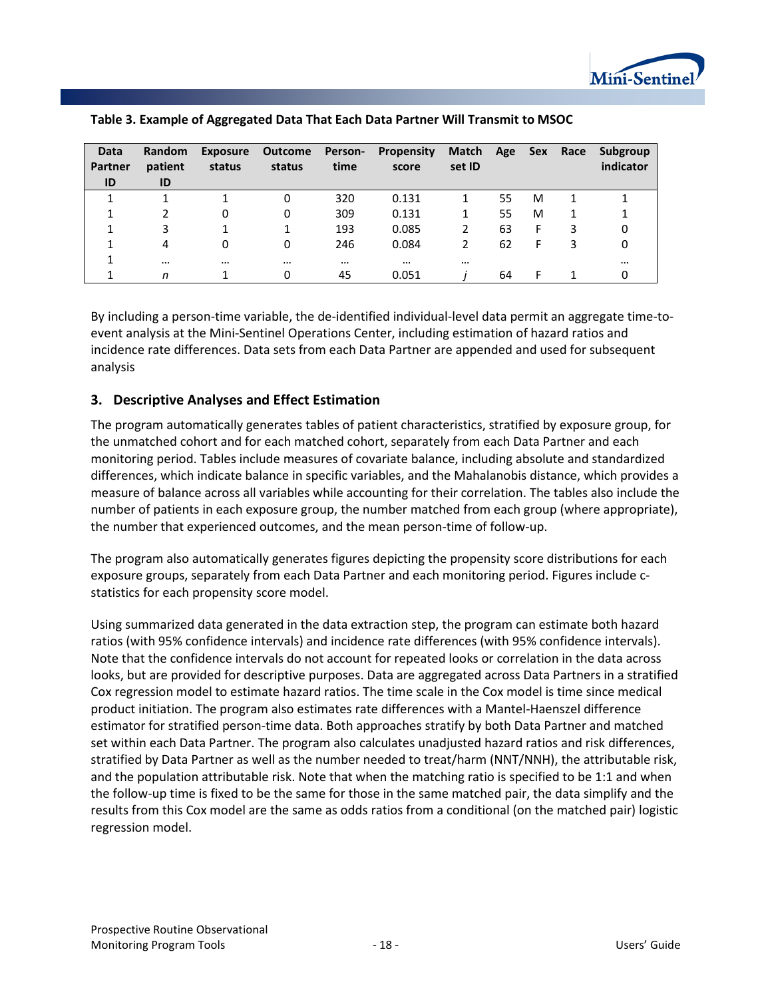

| Data<br>Partner | Random<br>patient | <b>Exposure</b><br>status | Outcome<br>status | <b>Person-</b><br>time | <b>Propensity</b><br>score | Match<br>set ID | Age | Sex | Race | Subgroup<br>indicator |
|-----------------|-------------------|---------------------------|-------------------|------------------------|----------------------------|-----------------|-----|-----|------|-----------------------|
| ID              | ID                |                           |                   |                        |                            |                 |     |     |      |                       |
|                 |                   |                           | 0                 | 320                    | 0.131                      |                 | 55  | M   |      |                       |
|                 |                   | 0                         | 0                 | 309                    | 0.131                      |                 | 55  | M   |      |                       |
| 1               | 3                 |                           |                   | 193                    | 0.085                      |                 | 63  | F   | 3    | 0                     |
|                 | 4                 | 0                         | 0                 | 246                    | 0.084                      | 2               | 62  | F   | 3    | 0                     |
|                 | $\cdots$          | $\cdots$                  | $\cdots$          | $\cdots$               | $\cdots$                   | $\cdots$        |     |     |      | $\cdots$              |
|                 | n                 |                           | 0                 | 45                     | 0.051                      |                 | 64  |     |      |                       |

By including a person-time variable, the de-identified individual-level data permit an aggregate time-toevent analysis at the Mini-Sentinel Operations Center, including estimation of hazard ratios and incidence rate differences. Data sets from each Data Partner are appended and used for subsequent analysis

#### **3. Descriptive Analyses and Effect Estimation**

The program automatically generates tables of patient characteristics, stratified by exposure group, for the unmatched cohort and for each matched cohort, separately from each Data Partner and each monitoring period. Tables include measures of covariate balance, including absolute and standardized differences, which indicate balance in specific variables, and the Mahalanobis distance, which provides a measure of balance across all variables while accounting for their correlation. The tables also include the number of patients in each exposure group, the number matched from each group (where appropriate), the number that experienced outcomes, and the mean person-time of follow-up.

The program also automatically generates figures depicting the propensity score distributions for each exposure groups, separately from each Data Partner and each monitoring period. Figures include cstatistics for each propensity score model.

Using summarized data generated in the data extraction step, the program can estimate both hazard ratios (with 95% confidence intervals) and incidence rate differences (with 95% confidence intervals). Note that the confidence intervals do not account for repeated looks or correlation in the data across looks, but are provided for descriptive purposes. Data are aggregated across Data Partners in a stratified Cox regression model to estimate hazard ratios. The time scale in the Cox model is time since medical product initiation. The program also estimates rate differences with a Mantel-Haenszel difference estimator for stratified person-time data. Both approaches stratify by both Data Partner and matched set within each Data Partner. The program also calculates unadjusted hazard ratios and risk differences, stratified by Data Partner as well as the number needed to treat/harm (NNT/NNH), the attributable risk, and the population attributable risk. Note that when the matching ratio is specified to be 1:1 and when the follow-up time is fixed to be the same for those in the same matched pair, the data simplify and the results from this Cox model are the same as odds ratios from a conditional (on the matched pair) logistic regression model.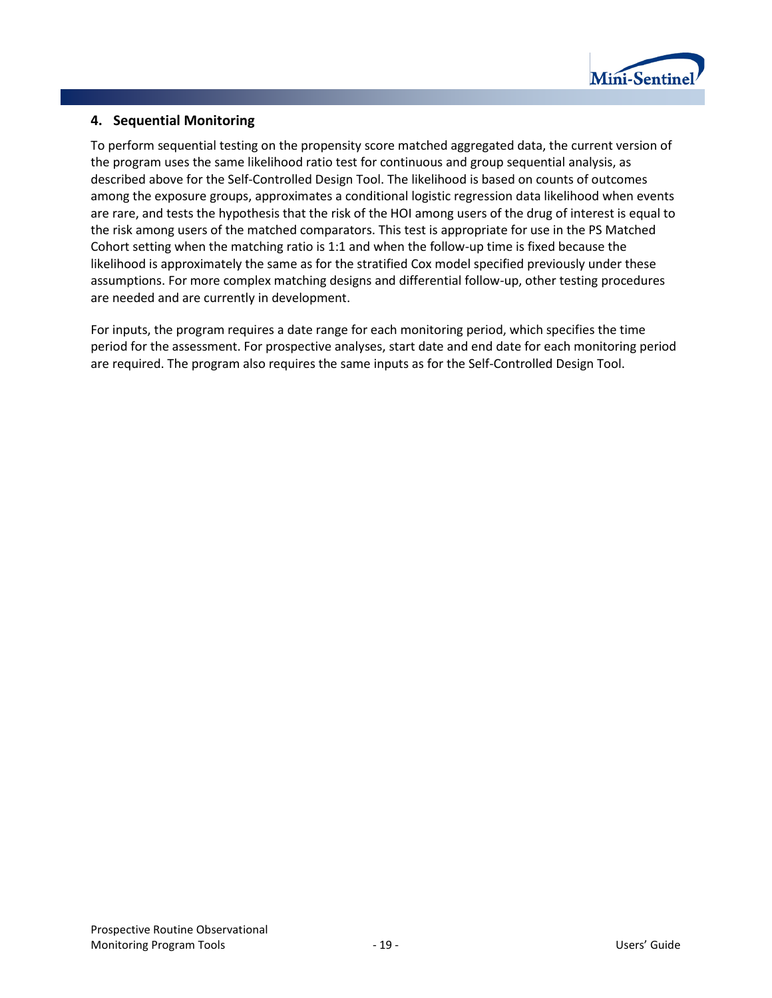

#### **4. Sequential Monitoring**

To perform sequential testing on the propensity score matched aggregated data, the current version of the program uses the same likelihood ratio test for continuous and group sequential analysis, as described above for the Self-Controlled Design Tool. The likelihood is based on counts of outcomes among the exposure groups, approximates a conditional logistic regression data likelihood when events are rare, and tests the hypothesis that the risk of the HOI among users of the drug of interest is equal to the risk among users of the matched comparators. This test is appropriate for use in the PS Matched Cohort setting when the matching ratio is 1:1 and when the follow-up time is fixed because the likelihood is approximately the same as for the stratified Cox model specified previously under these assumptions. For more complex matching designs and differential follow-up, other testing procedures are needed and are currently in development.

For inputs, the program requires a date range for each monitoring period, which specifies the time period for the assessment. For prospective analyses, start date and end date for each monitoring period are required. The program also requires the same inputs as for the Self-Controlled Design Tool.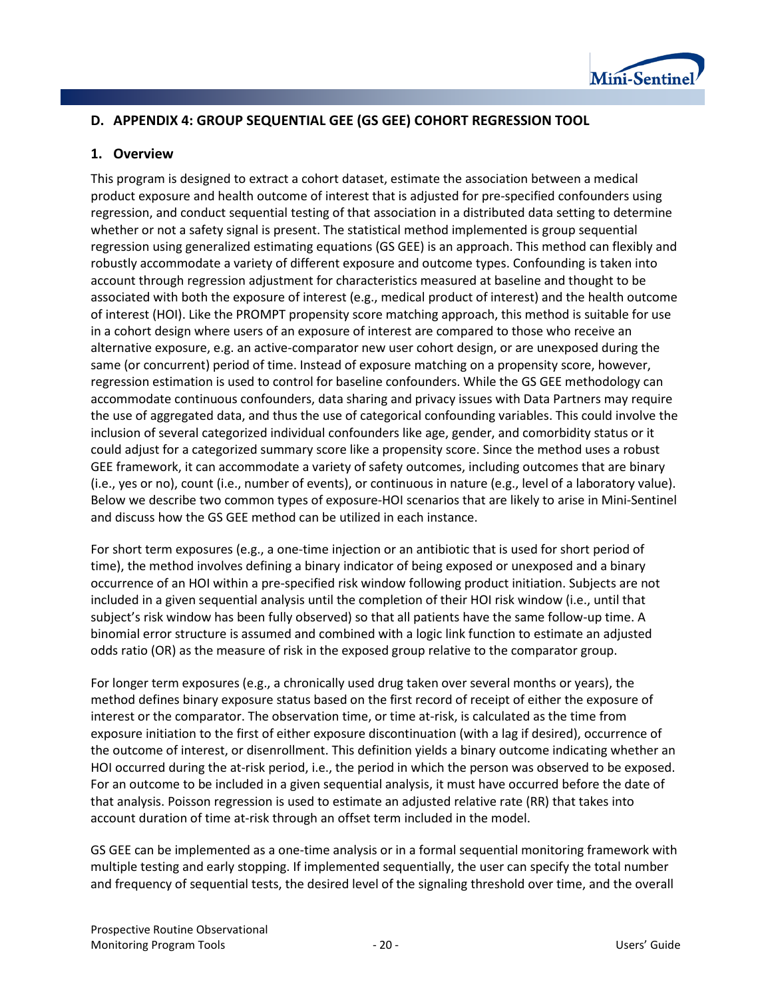

## **D. APPENDIX 4: GROUP SEQUENTIAL GEE (GS GEE) COHORT REGRESSION TOOL**

#### **1. Overview**

This program is designed to extract a cohort dataset, estimate the association between a medical product exposure and health outcome of interest that is adjusted for pre-specified confounders using regression, and conduct sequential testing of that association in a distributed data setting to determine whether or not a safety signal is present. The statistical method implemented is group sequential regression using generalized estimating equations (GS GEE) is an approach. This method can flexibly and robustly accommodate a variety of different exposure and outcome types. Confounding is taken into account through regression adjustment for characteristics measured at baseline and thought to be associated with both the exposure of interest (e.g., medical product of interest) and the health outcome of interest (HOI). Like the PROMPT propensity score matching approach, this method is suitable for use in a cohort design where users of an exposure of interest are compared to those who receive an alternative exposure, e.g. an active-comparator new user cohort design, or are unexposed during the same (or concurrent) period of time. Instead of exposure matching on a propensity score, however, regression estimation is used to control for baseline confounders. While the GS GEE methodology can accommodate continuous confounders, data sharing and privacy issues with Data Partners may require the use of aggregated data, and thus the use of categorical confounding variables. This could involve the inclusion of several categorized individual confounders like age, gender, and comorbidity status or it could adjust for a categorized summary score like a propensity score. Since the method uses a robust GEE framework, it can accommodate a variety of safety outcomes, including outcomes that are binary (i.e., yes or no), count (i.e., number of events), or continuous in nature (e.g., level of a laboratory value). Below we describe two common types of exposure-HOI scenarios that are likely to arise in Mini-Sentinel and discuss how the GS GEE method can be utilized in each instance.

For short term exposures (e.g., a one-time injection or an antibiotic that is used for short period of time), the method involves defining a binary indicator of being exposed or unexposed and a binary occurrence of an HOI within a pre-specified risk window following product initiation. Subjects are not included in a given sequential analysis until the completion of their HOI risk window (i.e., until that subject's risk window has been fully observed) so that all patients have the same follow-up time. A binomial error structure is assumed and combined with a logic link function to estimate an adjusted odds ratio (OR) as the measure of risk in the exposed group relative to the comparator group.

For longer term exposures (e.g., a chronically used drug taken over several months or years), the method defines binary exposure status based on the first record of receipt of either the exposure of interest or the comparator. The observation time, or time at-risk, is calculated as the time from exposure initiation to the first of either exposure discontinuation (with a lag if desired), occurrence of the outcome of interest, or disenrollment. This definition yields a binary outcome indicating whether an HOI occurred during the at-risk period, i.e., the period in which the person was observed to be exposed. For an outcome to be included in a given sequential analysis, it must have occurred before the date of that analysis. Poisson regression is used to estimate an adjusted relative rate (RR) that takes into account duration of time at-risk through an offset term included in the model.

GS GEE can be implemented as a one-time analysis or in a formal sequential monitoring framework with multiple testing and early stopping. If implemented sequentially, the user can specify the total number and frequency of sequential tests, the desired level of the signaling threshold over time, and the overall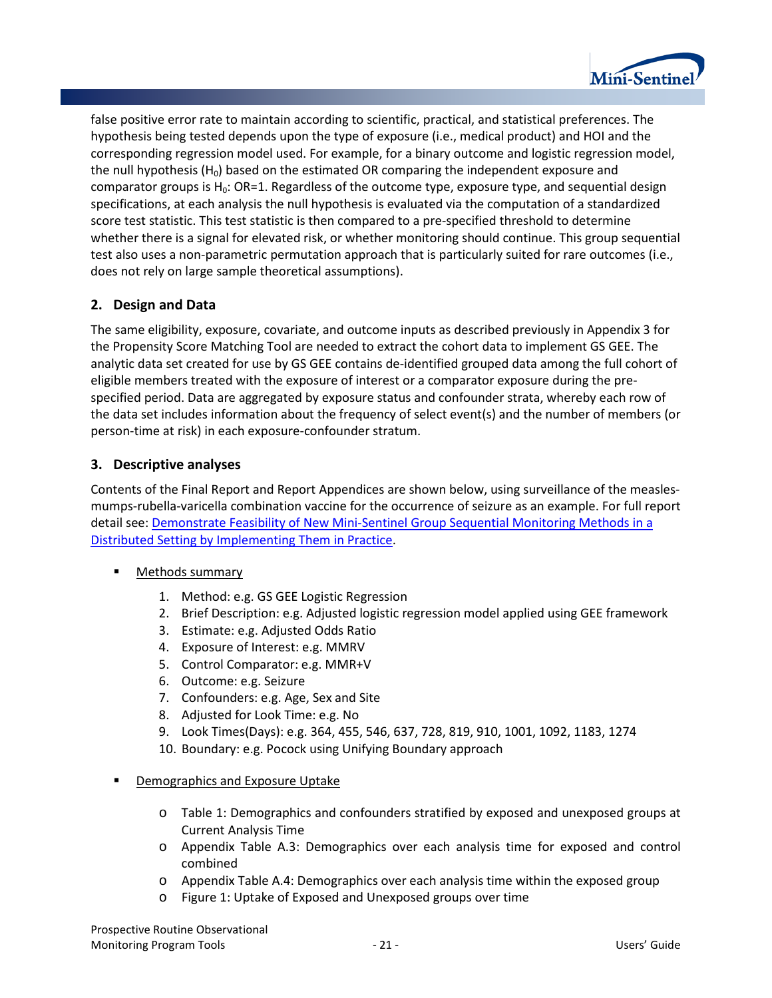

false positive error rate to maintain according to scientific, practical, and statistical preferences. The hypothesis being tested depends upon the type of exposure (i.e., medical product) and HOI and the corresponding regression model used. For example, for a binary outcome and logistic regression model, the null hypothesis ( $H_0$ ) based on the estimated OR comparing the independent exposure and comparator groups is  $H_0$ : OR=1. Regardless of the outcome type, exposure type, and sequential design specifications, at each analysis the null hypothesis is evaluated via the computation of a standardized score test statistic. This test statistic is then compared to a pre-specified threshold to determine whether there is a signal for elevated risk, or whether monitoring should continue. This group sequential test also uses a non-parametric permutation approach that is particularly suited for rare outcomes (i.e., does not rely on large sample theoretical assumptions).

## **2. Design and Data**

The same eligibility, exposure, covariate, and outcome inputs as described previously in Appendix 3 for the Propensity Score Matching Tool are needed to extract the cohort data to implement GS GEE. The analytic data set created for use by GS GEE contains de-identified grouped data among the full cohort of eligible members treated with the exposure of interest or a comparator exposure during the prespecified period. Data are aggregated by exposure status and confounder strata, whereby each row of the data set includes information about the frequency of select event(s) and the number of members (or person-time at risk) in each exposure-confounder stratum.

## **3. Descriptive analyses**

Contents of the Final Report and Report Appendices are shown below, using surveillance of the measlesmumps-rubella-varicella combination vaccine for the occurrence of seizure as an example. For full report detail see[: Demonstrate Feasibility of New Mini-Sentinel](http://mini-sentinel.org/methods/methods_development/details.aspx?ID=1047) Group Sequential Monitoring Methods in a [Distributed Setting by Implementing Them in Practice.](http://mini-sentinel.org/methods/methods_development/details.aspx?ID=1047)

- Methods summary
	- 1. Method: e.g. GS GEE Logistic Regression
	- 2. Brief Description: e.g. Adjusted logistic regression model applied using GEE framework
	- 3. Estimate: e.g. Adjusted Odds Ratio
	- 4. Exposure of Interest: e.g. MMRV
	- 5. Control Comparator: e.g. MMR+V
	- 6. Outcome: e.g. Seizure
	- 7. Confounders: e.g. Age, Sex and Site
	- 8. Adjusted for Look Time: e.g. No
	- 9. Look Times(Days): e.g. 364, 455, 546, 637, 728, 819, 910, 1001, 1092, 1183, 1274
	- 10. Boundary: e.g. Pocock using Unifying Boundary approach
- Demographics and Exposure Uptake
	- o [Table 1:](#page-12-0) Demographics and confounders stratified by exposed and unexposed groups at Current Analysis Time
	- o Appendix Table A.3: Demographics over each analysis time for exposed and control combined
	- o Appendix Table A.4: Demographics over each analysis time within the exposed group
	- o Figure 1: Uptake of Exposed and Unexposed groups over time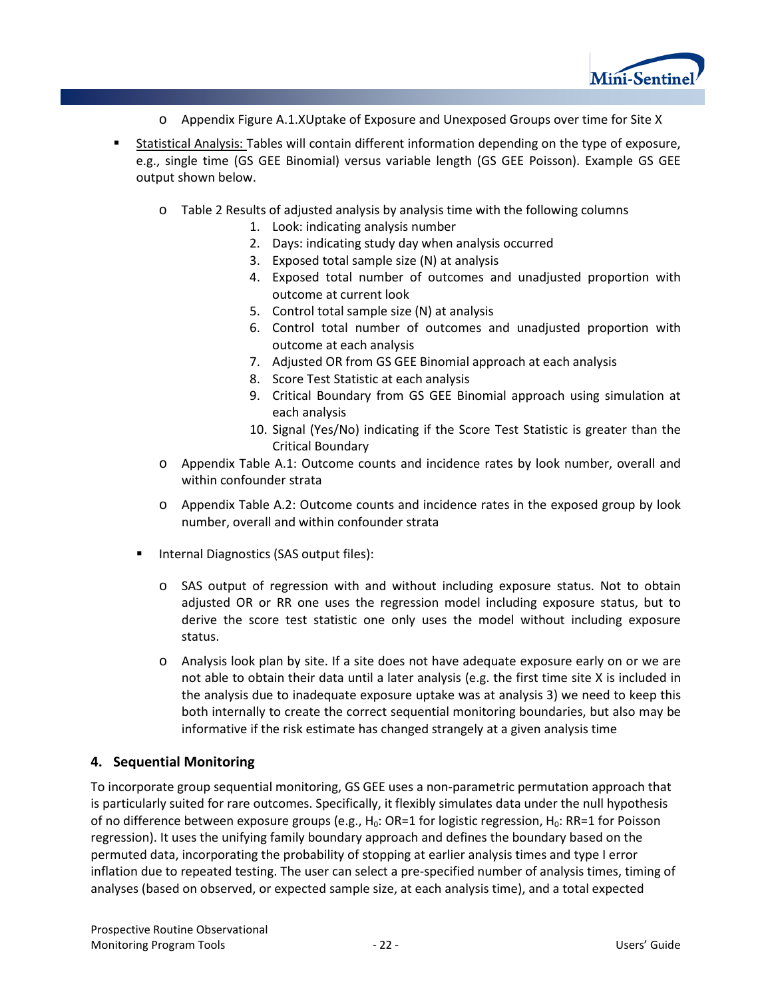

- o Appendix Figure A.1.XUptake of Exposure and Unexposed Groups over time for Site X
- Statistical Analysis: Tables will contain different information depending on the type of exposure, e.g., single time (GS GEE Binomial) versus variable length (GS GEE Poisson). Example GS GEE output shown below.
	- o [Table 2](#page-15-0) Results of adjusted analysis by analysis time with the following columns
		- 1. Look: indicating analysis number
		- 2. Days: indicating study day when analysis occurred
		- 3. Exposed total sample size (N) at analysis
		- 4. Exposed total number of outcomes and unadjusted proportion with outcome at current look
		- 5. Control total sample size (N) at analysis
		- 6. Control total number of outcomes and unadjusted proportion with outcome at each analysis
		- 7. Adjusted OR from GS GEE Binomial approach at each analysis
		- 8. Score Test Statistic at each analysis
		- 9. Critical Boundary from GS GEE Binomial approach using simulation at each analysis
		- 10. Signal (Yes/No) indicating if the Score Test Statistic is greater than the Critical Boundary
	- o Appendix Table A.1: Outcome counts and incidence rates by look number, overall and within confounder strata
	- o Appendix Table A.2: Outcome counts and incidence rates in the exposed group by look number, overall and within confounder strata
	- **Internal Diagnostics (SAS output files):** 
		- o SAS output of regression with and without including exposure status. Not to obtain adjusted OR or RR one uses the regression model including exposure status, but to derive the score test statistic one only uses the model without including exposure status.
		- o Analysis look plan by site. If a site does not have adequate exposure early on or we are not able to obtain their data until a later analysis (e.g. the first time site X is included in the analysis due to inadequate exposure uptake was at analysis 3) we need to keep this both internally to create the correct sequential monitoring boundaries, but also may be informative if the risk estimate has changed strangely at a given analysis time

## **4. Sequential Monitoring**

To incorporate group sequential monitoring, GS GEE uses a non-parametric permutation approach that is particularly suited for rare outcomes. Specifically, it flexibly simulates data under the null hypothesis of no difference between exposure groups (e.g.,  $H_0$ : OR=1 for logistic regression,  $H_0$ : RR=1 for Poisson regression). It uses the unifying family boundary approach and defines the boundary based on the permuted data, incorporating the probability of stopping at earlier analysis times and type I error inflation due to repeated testing. The user can select a pre-specified number of analysis times, timing of analyses (based on observed, or expected sample size, at each analysis time), and a total expected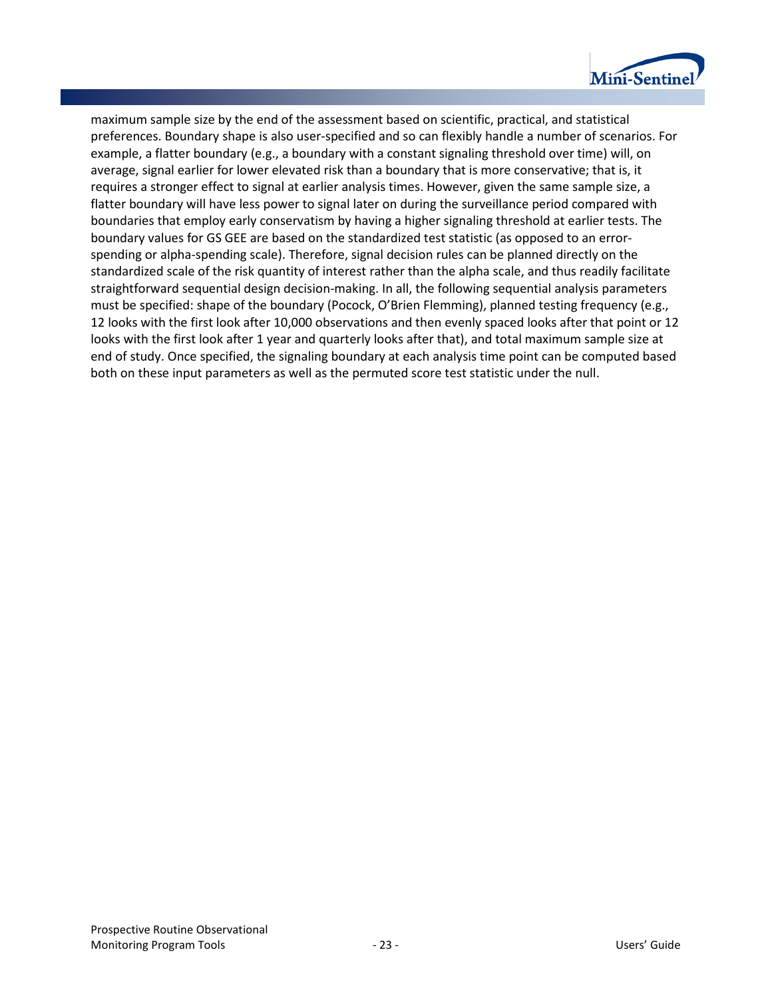

maximum sample size by the end of the assessment based on scientific, practical, and statistical preferences. Boundary shape is also user-specified and so can flexibly handle a number of scenarios. For example, a flatter boundary (e.g., a boundary with a constant signaling threshold over time) will, on average, signal earlier for lower elevated risk than a boundary that is more conservative; that is, it requires a stronger effect to signal at earlier analysis times. However, given the same sample size, a flatter boundary will have less power to signal later on during the surveillance period compared with boundaries that employ early conservatism by having a higher signaling threshold at earlier tests. The boundary values for GS GEE are based on the standardized test statistic (as opposed to an errorspending or alpha-spending scale). Therefore, signal decision rules can be planned directly on the standardized scale of the risk quantity of interest rather than the alpha scale, and thus readily facilitate straightforward sequential design decision-making. In all, the following sequential analysis parameters must be specified: shape of the boundary (Pocock, O'Brien Flemming), planned testing frequency (e.g., 12 looks with the first look after 10,000 observations and then evenly spaced looks after that point or 12 looks with the first look after 1 year and quarterly looks after that), and total maximum sample size at end of study. Once specified, the signaling boundary at each analysis time point can be computed based both on these input parameters as well as the permuted score test statistic under the null.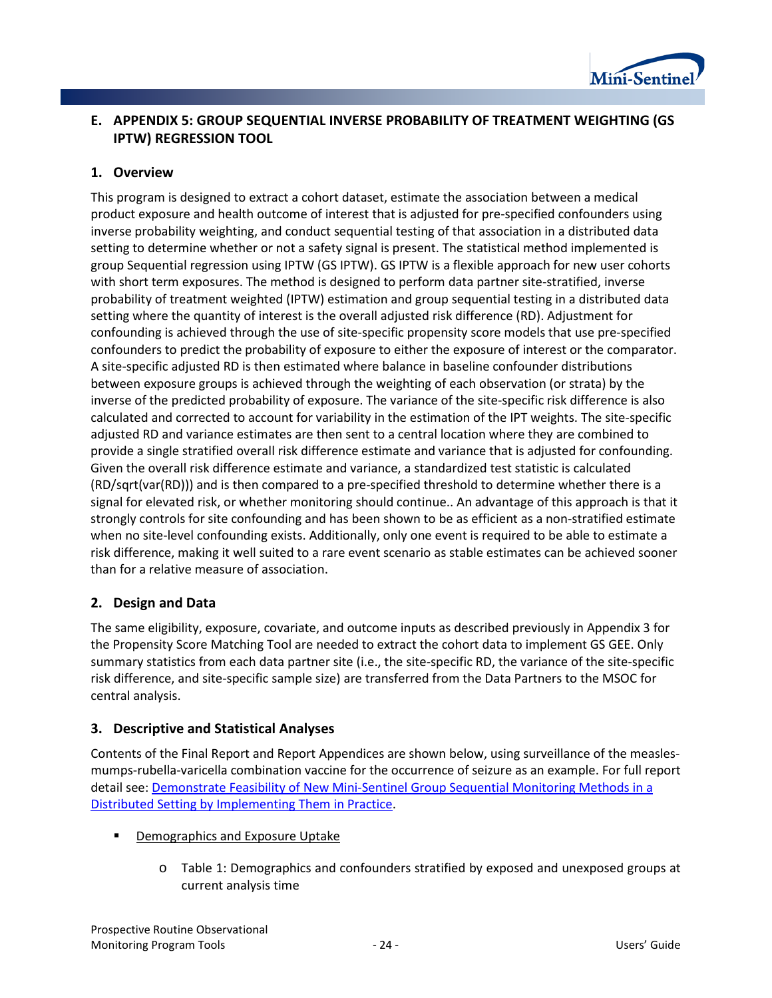

## **E. APPENDIX 5: GROUP SEQUENTIAL INVERSE PROBABILITY OF TREATMENT WEIGHTING (GS IPTW) REGRESSION TOOL**

## **1. Overview**

This program is designed to extract a cohort dataset, estimate the association between a medical product exposure and health outcome of interest that is adjusted for pre-specified confounders using inverse probability weighting, and conduct sequential testing of that association in a distributed data setting to determine whether or not a safety signal is present. The statistical method implemented is group Sequential regression using IPTW (GS IPTW). GS IPTW is a flexible approach for new user cohorts with short term exposures. The method is designed to perform data partner site-stratified, inverse probability of treatment weighted (IPTW) estimation and group sequential testing in a distributed data setting where the quantity of interest is the overall adjusted risk difference (RD). Adjustment for confounding is achieved through the use of site-specific propensity score models that use pre-specified confounders to predict the probability of exposure to either the exposure of interest or the comparator. A site-specific adjusted RD is then estimated where balance in baseline confounder distributions between exposure groups is achieved through the weighting of each observation (or strata) by the inverse of the predicted probability of exposure. The variance of the site-specific risk difference is also calculated and corrected to account for variability in the estimation of the IPT weights. The site-specific adjusted RD and variance estimates are then sent to a central location where they are combined to provide a single stratified overall risk difference estimate and variance that is adjusted for confounding. Given the overall risk difference estimate and variance, a standardized test statistic is calculated (RD/sqrt(var(RD))) and is then compared to a pre-specified threshold to determine whether there is a signal for elevated risk, or whether monitoring should continue.. An advantage of this approach is that it strongly controls for site confounding and has been shown to be as efficient as a non-stratified estimate when no site-level confounding exists. Additionally, only one event is required to be able to estimate a risk difference, making it well suited to a rare event scenario as stable estimates can be achieved sooner than for a relative measure of association.

## **2. Design and Data**

The same eligibility, exposure, covariate, and outcome inputs as described previously in Appendix 3 for the Propensity Score Matching Tool are needed to extract the cohort data to implement GS GEE. Only summary statistics from each data partner site (i.e., the site-specific RD, the variance of the site-specific risk difference, and site-specific sample size) are transferred from the Data Partners to the MSOC for central analysis.

## **3. Descriptive and Statistical Analyses**

Contents of the Final Report and Report Appendices are shown below, using surveillance of the measlesmumps-rubella-varicella combination vaccine for the occurrence of seizure as an example. For full report detail see: [Demonstrate Feasibility of New Mini-Sentinel Group Sequential Monitoring Methods in a](http://mini-sentinel.org/methods/methods_development/details.aspx?ID=1047)  [Distributed Setting by Implementing Them in Practice.](http://mini-sentinel.org/methods/methods_development/details.aspx?ID=1047)

- **Demographics and Exposure Uptake** 
	- o [Table 1:](#page-12-0) Demographics and confounders stratified by exposed and unexposed groups at current analysis time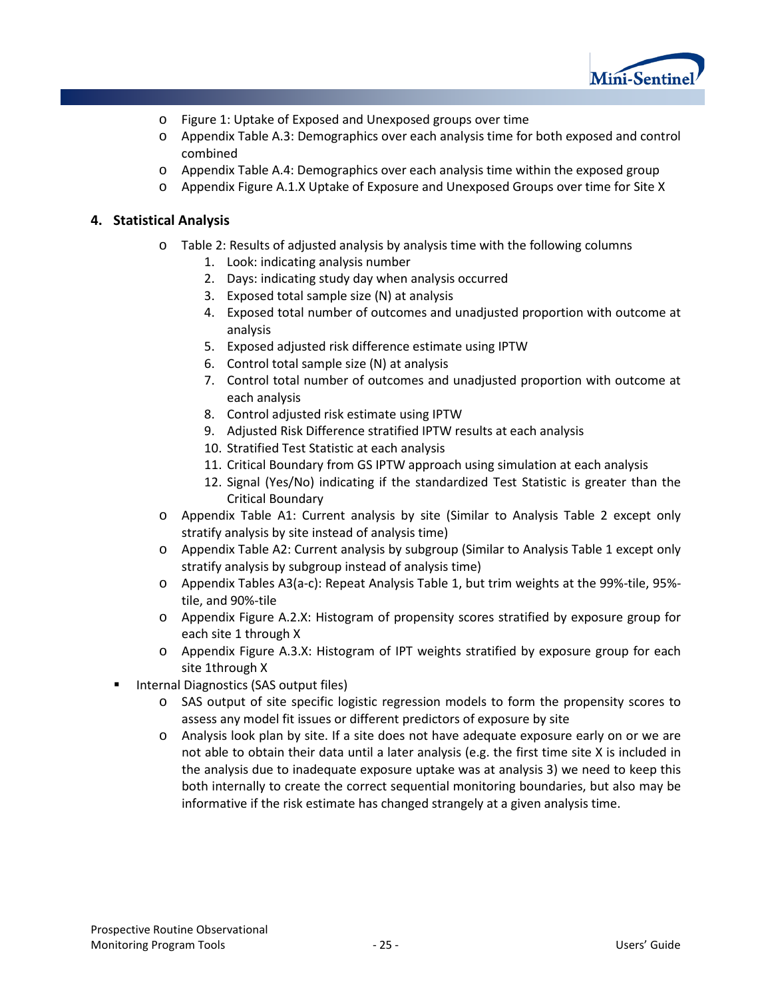

- o Figure 1: Uptake of Exposed and Unexposed groups over time
- o Appendix Table A.3: Demographics over each analysis time for both exposed and control combined
- o Appendix Table A.4: Demographics over each analysis time within the exposed group
- o Appendix Figure A.1.X Uptake of Exposure and Unexposed Groups over time for Site X

#### **4. Statistical Analysis**

- o [Table 2:](#page-15-0) Results of adjusted analysis by analysis time with the following columns
	- 1. Look: indicating analysis number
	- 2. Days: indicating study day when analysis occurred
	- 3. Exposed total sample size (N) at analysis
	- 4. Exposed total number of outcomes and unadjusted proportion with outcome at analysis
	- 5. Exposed adjusted risk difference estimate using IPTW
	- 6. Control total sample size (N) at analysis
	- 7. Control total number of outcomes and unadjusted proportion with outcome at each analysis
	- 8. Control adjusted risk estimate using IPTW
	- 9. Adjusted Risk Difference stratified IPTW results at each analysis
	- 10. Stratified Test Statistic at each analysis
	- 11. Critical Boundary from GS IPTW approach using simulation at each analysis
	- 12. Signal (Yes/No) indicating if the standardized Test Statistic is greater than the Critical Boundary
- o Appendix Table A1: Current analysis by site (Similar to Analysis [Table 2](#page-15-0) except only stratify analysis by site instead of analysis time)
- o Appendix Table A2: Current analysis by subgroup (Similar to Analysis [Table 1](#page-12-0) except only stratify analysis by subgroup instead of analysis time)
- o Appendix Tables A3(a-c): Repeat Analysis [Table 1,](#page-12-0) but trim weights at the 99%-tile, 95% tile, and 90%-tile
- o Appendix Figure A.2.X: Histogram of propensity scores stratified by exposure group for each site 1 through X
- o Appendix Figure A.3.X: Histogram of IPT weights stratified by exposure group for each site 1through X
- Internal Diagnostics (SAS output files)
	- o SAS output of site specific logistic regression models to form the propensity scores to assess any model fit issues or different predictors of exposure by site
	- o Analysis look plan by site. If a site does not have adequate exposure early on or we are not able to obtain their data until a later analysis (e.g. the first time site X is included in the analysis due to inadequate exposure uptake was at analysis 3) we need to keep this both internally to create the correct sequential monitoring boundaries, but also may be informative if the risk estimate has changed strangely at a given analysis time.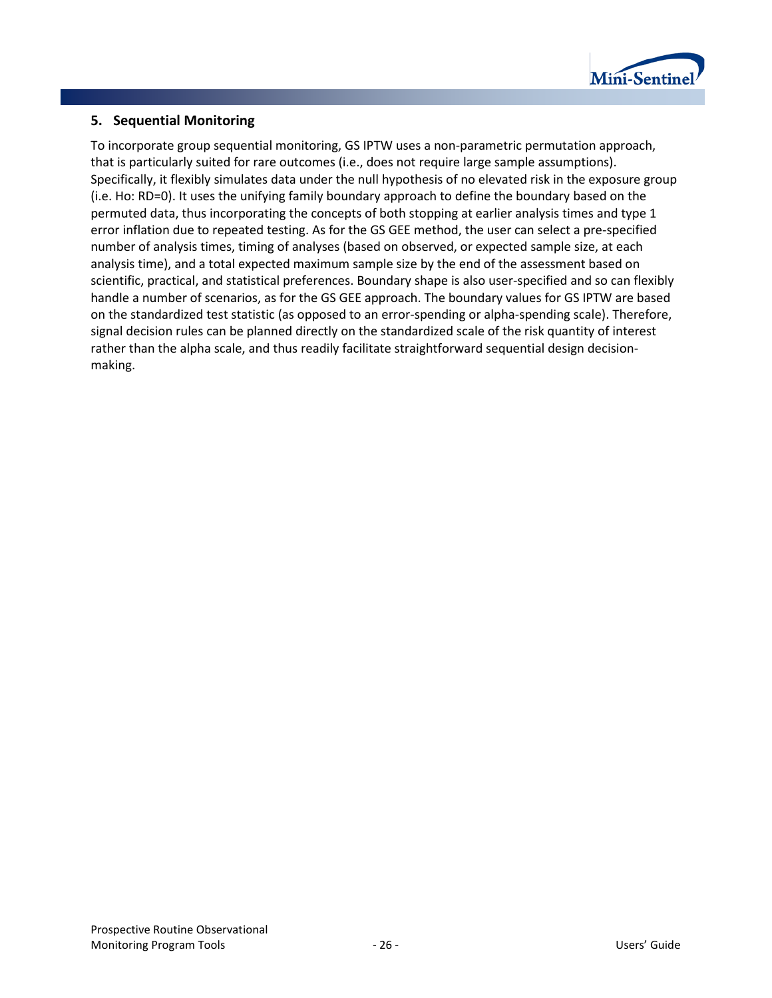

## **5. Sequential Monitoring**

To incorporate group sequential monitoring, GS IPTW uses a non-parametric permutation approach, that is particularly suited for rare outcomes (i.e., does not require large sample assumptions). Specifically, it flexibly simulates data under the null hypothesis of no elevated risk in the exposure group (i.e. Ho: RD=0). It uses the unifying family boundary approach to define the boundary based on the permuted data, thus incorporating the concepts of both stopping at earlier analysis times and type 1 error inflation due to repeated testing. As for the GS GEE method, the user can select a pre-specified number of analysis times, timing of analyses (based on observed, or expected sample size, at each analysis time), and a total expected maximum sample size by the end of the assessment based on scientific, practical, and statistical preferences. Boundary shape is also user-specified and so can flexibly handle a number of scenarios, as for the GS GEE approach. The boundary values for GS IPTW are based on the standardized test statistic (as opposed to an error-spending or alpha-spending scale). Therefore, signal decision rules can be planned directly on the standardized scale of the risk quantity of interest rather than the alpha scale, and thus readily facilitate straightforward sequential design decisionmaking.